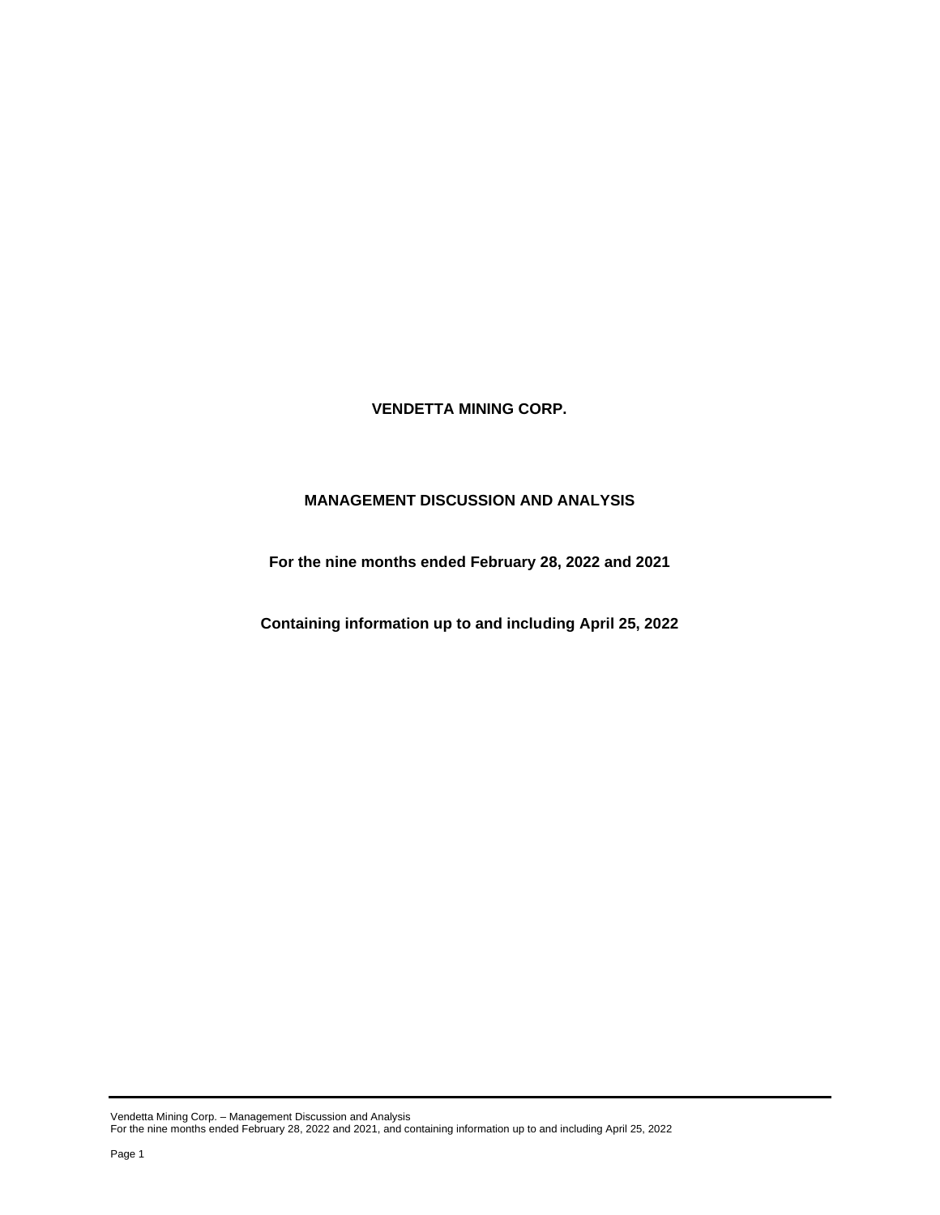**VENDETTA MINING CORP.**

# **MANAGEMENT DISCUSSION AND ANALYSIS**

**For the nine months ended February 28, 2022 and 2021**

**Containing information up to and including April 25, 2022**

Vendetta Mining Corp. – Management Discussion and Analysis For the nine months ended February 28, 2022 and 2021, and containing information up to and including April 25, 2022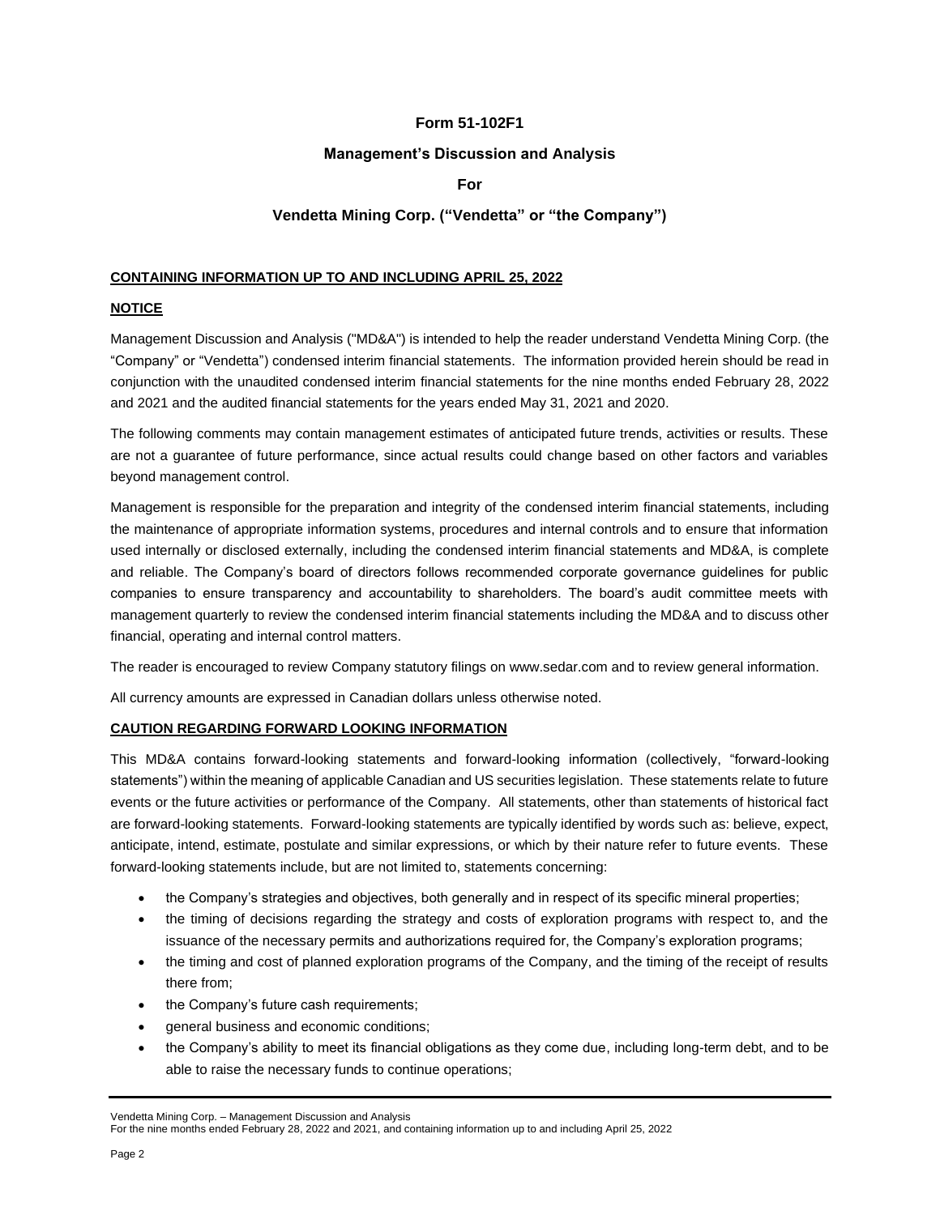# **Form 51-102F1**

## **Management's Discussion and Analysis**

## **For**

# **Vendetta Mining Corp. ("Vendetta" or "the Company")**

### **CONTAINING INFORMATION UP TO AND INCLUDING APRIL 25, 2022**

### **NOTICE**

Management Discussion and Analysis ("MD&A") is intended to help the reader understand Vendetta Mining Corp. (the "Company" or "Vendetta") condensed interim financial statements. The information provided herein should be read in conjunction with the unaudited condensed interim financial statements for the nine months ended February 28, 2022 and 2021 and the audited financial statements for the years ended May 31, 2021 and 2020.

The following comments may contain management estimates of anticipated future trends, activities or results. These are not a guarantee of future performance, since actual results could change based on other factors and variables beyond management control.

Management is responsible for the preparation and integrity of the condensed interim financial statements, including the maintenance of appropriate information systems, procedures and internal controls and to ensure that information used internally or disclosed externally, including the condensed interim financial statements and MD&A, is complete and reliable. The Company's board of directors follows recommended corporate governance guidelines for public companies to ensure transparency and accountability to shareholders. The board's audit committee meets with management quarterly to review the condensed interim financial statements including the MD&A and to discuss other financial, operating and internal control matters.

The reader is encouraged to review Company statutory filings on www.sedar.com and to review general information.

All currency amounts are expressed in Canadian dollars unless otherwise noted.

### **CAUTION REGARDING FORWARD LOOKING INFORMATION**

This MD&A contains forward-looking statements and forward-looking information (collectively, "forward-looking statements") within the meaning of applicable Canadian and US securities legislation. These statements relate to future events or the future activities or performance of the Company. All statements, other than statements of historical fact are forward-looking statements. Forward-looking statements are typically identified by words such as: believe, expect, anticipate, intend, estimate, postulate and similar expressions, or which by their nature refer to future events. These forward-looking statements include, but are not limited to, statements concerning:

- the Company's strategies and objectives, both generally and in respect of its specific mineral properties;
- the timing of decisions regarding the strategy and costs of exploration programs with respect to, and the issuance of the necessary permits and authorizations required for, the Company's exploration programs;
- the timing and cost of planned exploration programs of the Company, and the timing of the receipt of results there from;
- the Company's future cash requirements;
- general business and economic conditions;
- the Company's ability to meet its financial obligations as they come due, including long-term debt, and to be able to raise the necessary funds to continue operations;

Vendetta Mining Corp. – Management Discussion and Analysis

For the nine months ended February 28, 2022 and 2021, and containing information up to and including April 25, 2022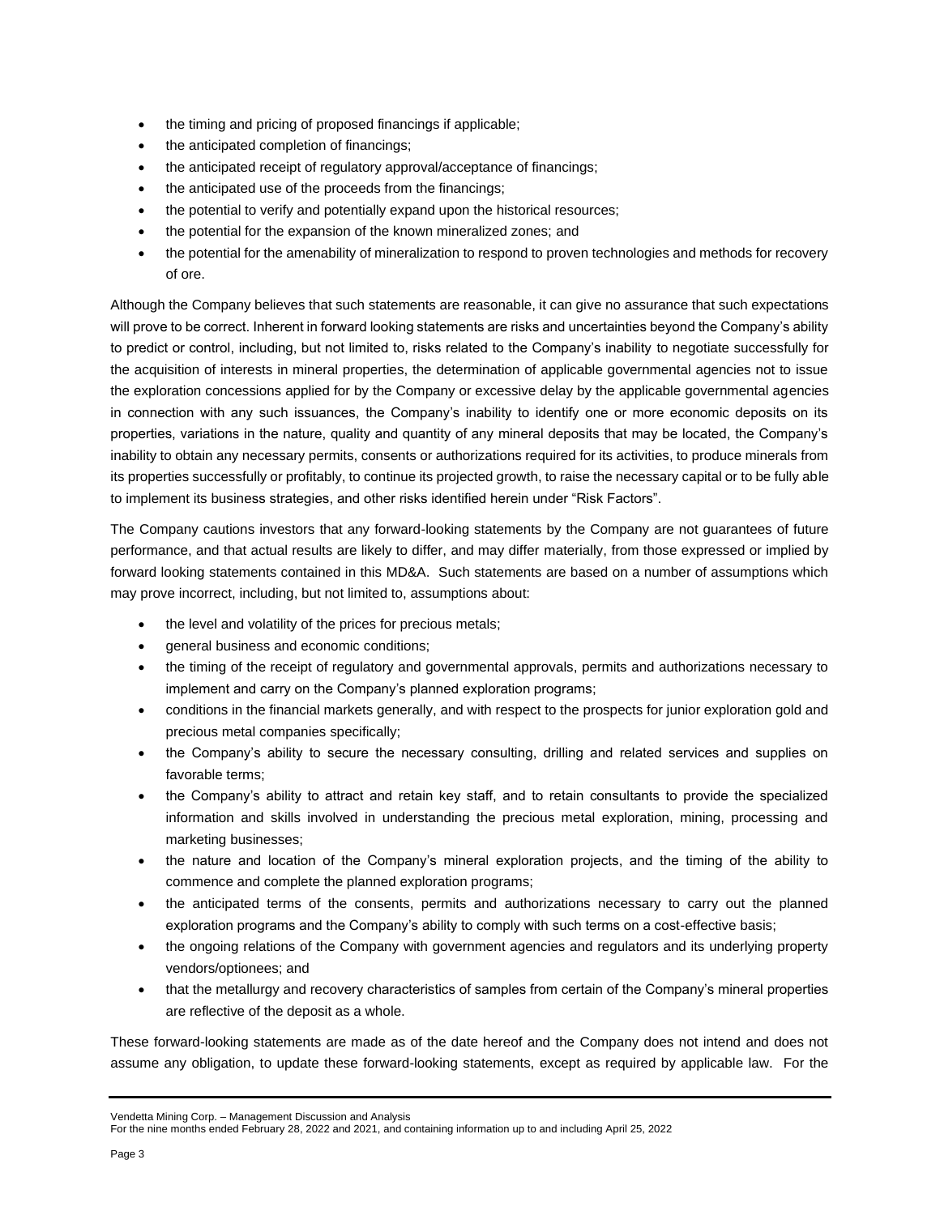- the timing and pricing of proposed financings if applicable;
- the anticipated completion of financings;
- the anticipated receipt of regulatory approval/acceptance of financings;
- the anticipated use of the proceeds from the financings;
- the potential to verify and potentially expand upon the historical resources;
- the potential for the expansion of the known mineralized zones; and
- the potential for the amenability of mineralization to respond to proven technologies and methods for recovery of ore.

Although the Company believes that such statements are reasonable, it can give no assurance that such expectations will prove to be correct. Inherent in forward looking statements are risks and uncertainties beyond the Company's ability to predict or control, including, but not limited to, risks related to the Company's inability to negotiate successfully for the acquisition of interests in mineral properties, the determination of applicable governmental agencies not to issue the exploration concessions applied for by the Company or excessive delay by the applicable governmental agencies in connection with any such issuances, the Company's inability to identify one or more economic deposits on its properties, variations in the nature, quality and quantity of any mineral deposits that may be located, the Company's inability to obtain any necessary permits, consents or authorizations required for its activities, to produce minerals from its properties successfully or profitably, to continue its projected growth, to raise the necessary capital or to be fully able to implement its business strategies, and other risks identified herein under "Risk Factors".

The Company cautions investors that any forward-looking statements by the Company are not guarantees of future performance, and that actual results are likely to differ, and may differ materially, from those expressed or implied by forward looking statements contained in this MD&A. Such statements are based on a number of assumptions which may prove incorrect, including, but not limited to, assumptions about:

- the level and volatility of the prices for precious metals;
- general business and economic conditions;
- the timing of the receipt of regulatory and governmental approvals, permits and authorizations necessary to implement and carry on the Company's planned exploration programs;
- conditions in the financial markets generally, and with respect to the prospects for junior exploration gold and precious metal companies specifically;
- the Company's ability to secure the necessary consulting, drilling and related services and supplies on favorable terms;
- the Company's ability to attract and retain key staff, and to retain consultants to provide the specialized information and skills involved in understanding the precious metal exploration, mining, processing and marketing businesses;
- the nature and location of the Company's mineral exploration projects, and the timing of the ability to commence and complete the planned exploration programs;
- the anticipated terms of the consents, permits and authorizations necessary to carry out the planned exploration programs and the Company's ability to comply with such terms on a cost-effective basis;
- the ongoing relations of the Company with government agencies and regulators and its underlying property vendors/optionees; and
- that the metallurgy and recovery characteristics of samples from certain of the Company's mineral properties are reflective of the deposit as a whole.

These forward-looking statements are made as of the date hereof and the Company does not intend and does not assume any obligation, to update these forward-looking statements, except as required by applicable law. For the

### Vendetta Mining Corp. – Management Discussion and Analysis

For the nine months ended February 28, 2022 and 2021, and containing information up to and including April 25, 2022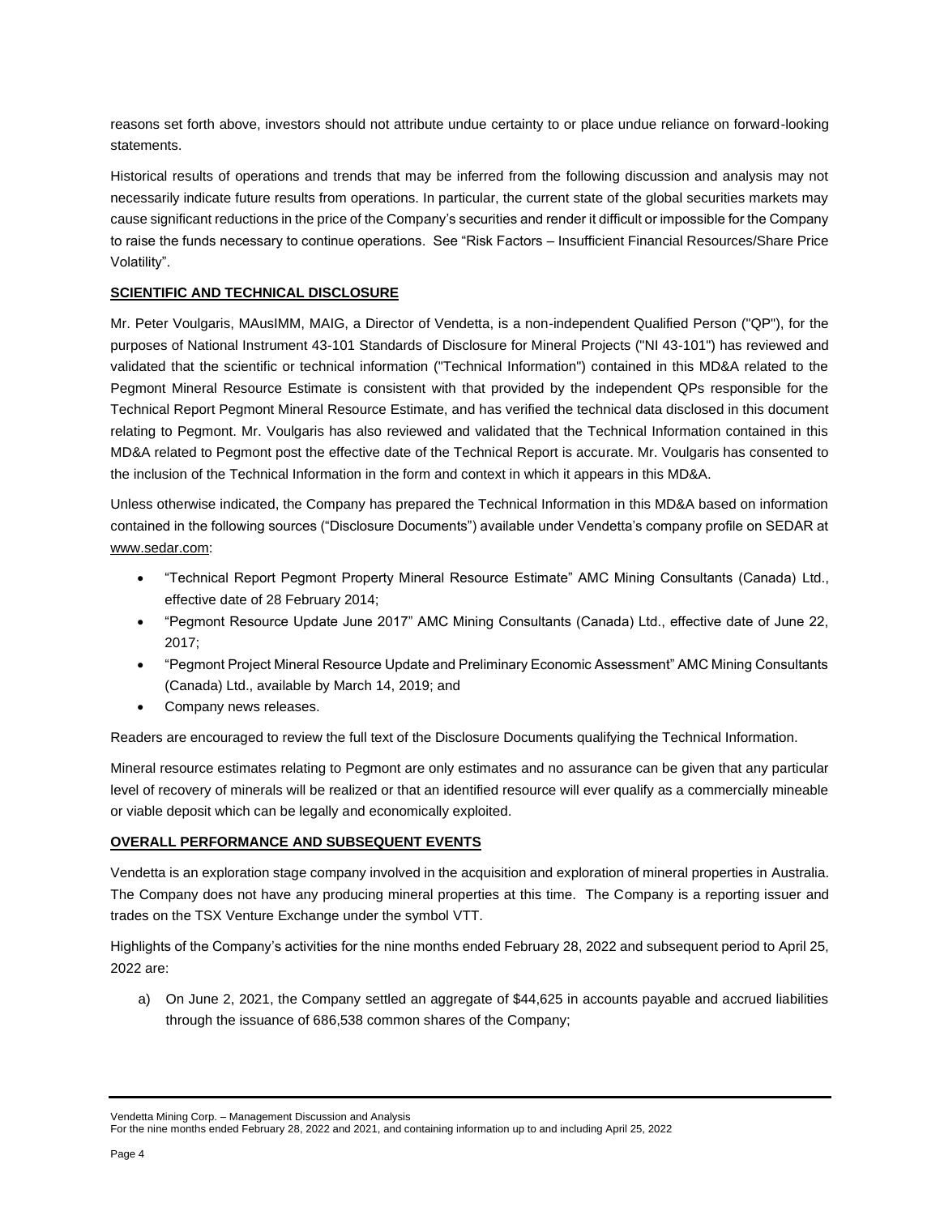reasons set forth above, investors should not attribute undue certainty to or place undue reliance on forward-looking statements.

Historical results of operations and trends that may be inferred from the following discussion and analysis may not necessarily indicate future results from operations. In particular, the current state of the global securities markets may cause significant reductions in the price of the Company's securities and render it difficult or impossible for the Company to raise the funds necessary to continue operations. See "Risk Factors – Insufficient Financial Resources/Share Price Volatility".

### **SCIENTIFIC AND TECHNICAL DISCLOSURE**

Mr. Peter Voulgaris, MAusIMM, MAIG, a Director of Vendetta, is a non-independent Qualified Person ("QP"), for the purposes of National Instrument 43-101 Standards of Disclosure for Mineral Projects ("NI 43-101") has reviewed and validated that the scientific or technical information ("Technical Information") contained in this MD&A related to the Pegmont Mineral Resource Estimate is consistent with that provided by the independent QPs responsible for the Technical Report Pegmont Mineral Resource Estimate, and has verified the technical data disclosed in this document relating to Pegmont. Mr. Voulgaris has also reviewed and validated that the Technical Information contained in this MD&A related to Pegmont post the effective date of the Technical Report is accurate. Mr. Voulgaris has consented to the inclusion of the Technical Information in the form and context in which it appears in this MD&A.

Unless otherwise indicated, the Company has prepared the Technical Information in this MD&A based on information contained in the following sources ("Disclosure Documents") available under Vendetta's company profile on SEDAR at [www.sedar.com:](http://www.sedar.com/)

- "Technical Report Pegmont Property Mineral Resource Estimate" AMC Mining Consultants (Canada) Ltd., effective date of 28 February 2014;
- "Pegmont Resource Update June 2017" AMC Mining Consultants (Canada) Ltd., effective date of June 22, 2017;
- "Pegmont Project Mineral Resource Update and Preliminary Economic Assessment" AMC Mining Consultants (Canada) Ltd., available by March 14, 2019; and
- Company news releases.

Readers are encouraged to review the full text of the Disclosure Documents qualifying the Technical Information.

Mineral resource estimates relating to Pegmont are only estimates and no assurance can be given that any particular level of recovery of minerals will be realized or that an identified resource will ever qualify as a commercially mineable or viable deposit which can be legally and economically exploited.

### **OVERALL PERFORMANCE AND SUBSEQUENT EVENTS**

Vendetta is an exploration stage company involved in the acquisition and exploration of mineral properties in Australia. The Company does not have any producing mineral properties at this time. The Company is a reporting issuer and trades on the TSX Venture Exchange under the symbol VTT.

Highlights of the Company's activities for the nine months ended February 28, 2022 and subsequent period to April 25, 2022 are:

a) On June 2, 2021, the Company settled an aggregate of \$44,625 in accounts payable and accrued liabilities through the issuance of 686,538 common shares of the Company;

Vendetta Mining Corp. – Management Discussion and Analysis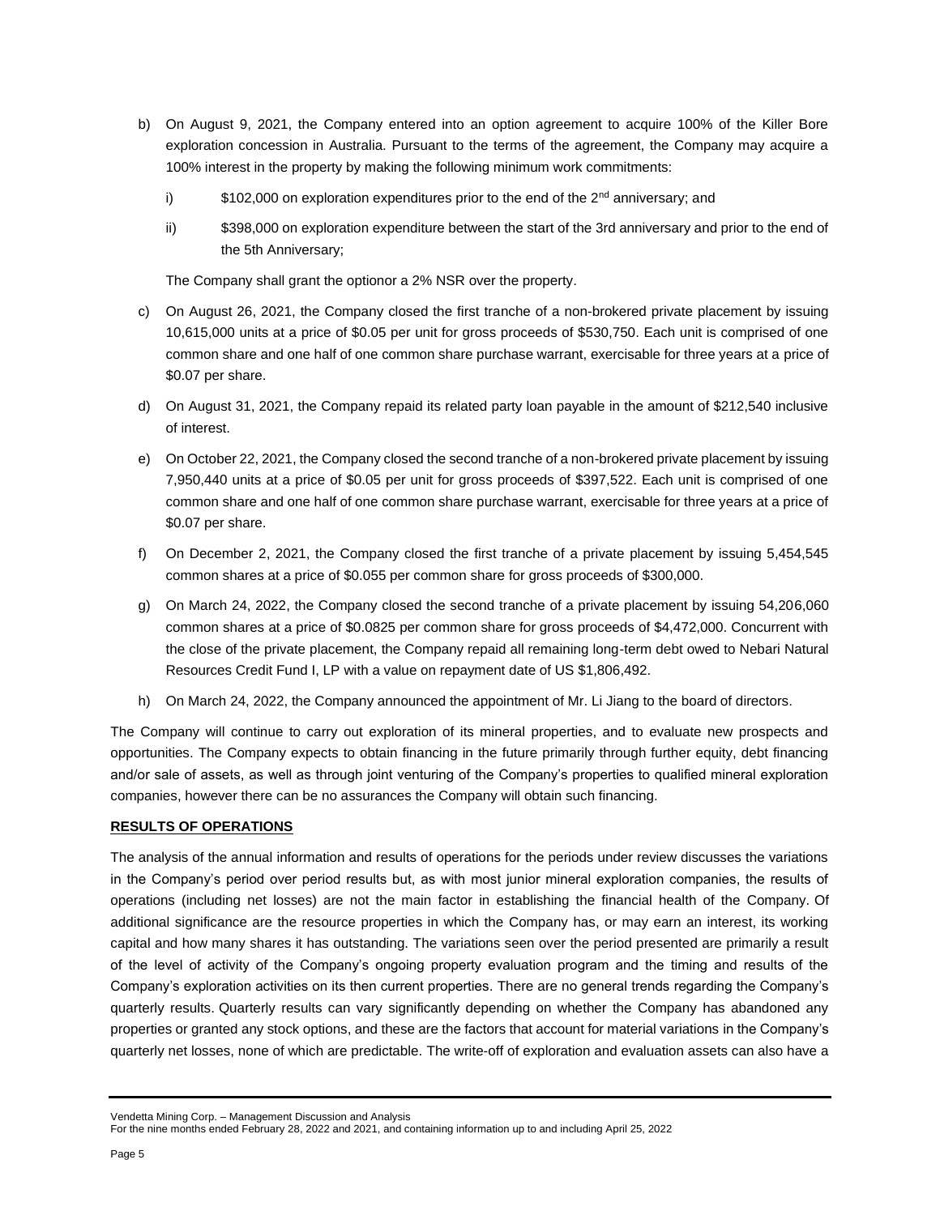- b) On August 9, 2021, the Company entered into an option agreement to acquire 100% of the Killer Bore exploration concession in Australia. Pursuant to the terms of the agreement, the Company may acquire a 100% interest in the property by making the following minimum work commitments:
	- i)  $$102,000$  on exploration expenditures prior to the end of the  $2<sup>nd</sup>$  anniversary; and
	- ii) \$398,000 on exploration expenditure between the start of the 3rd anniversary and prior to the end of the 5th Anniversary;

The Company shall grant the optionor a 2% NSR over the property.

- c) On August 26, 2021, the Company closed the first tranche of a non-brokered private placement by issuing 10,615,000 units at a price of \$0.05 per unit for gross proceeds of \$530,750. Each unit is comprised of one common share and one half of one common share purchase warrant, exercisable for three years at a price of \$0.07 per share.
- d) On August 31, 2021, the Company repaid its related party loan payable in the amount of \$212,540 inclusive of interest.
- e) On October 22, 2021, the Company closed the second tranche of a non-brokered private placement by issuing 7,950,440 units at a price of \$0.05 per unit for gross proceeds of \$397,522. Each unit is comprised of one common share and one half of one common share purchase warrant, exercisable for three years at a price of \$0.07 per share.
- f) On December 2, 2021, the Company closed the first tranche of a private placement by issuing 5,454,545 common shares at a price of \$0.055 per common share for gross proceeds of \$300,000.
- g) On March 24, 2022, the Company closed the second tranche of a private placement by issuing 54,206,060 common shares at a price of \$0.0825 per common share for gross proceeds of \$4,472,000. Concurrent with the close of the private placement, the Company repaid all remaining long-term debt owed to Nebari Natural Resources Credit Fund I, LP with a value on repayment date of US \$1,806,492.
- h) On March 24, 2022, the Company announced the appointment of Mr. Li Jiang to the board of directors.

The Company will continue to carry out exploration of its mineral properties, and to evaluate new prospects and opportunities. The Company expects to obtain financing in the future primarily through further equity, debt financing and/or sale of assets, as well as through joint venturing of the Company's properties to qualified mineral exploration companies, however there can be no assurances the Company will obtain such financing.

### **RESULTS OF OPERATIONS**

The analysis of the annual information and results of operations for the periods under review discusses the variations in the Company's period over period results but, as with most junior mineral exploration companies, the results of operations (including net losses) are not the main factor in establishing the financial health of the Company. Of additional significance are the resource properties in which the Company has, or may earn an interest, its working capital and how many shares it has outstanding. The variations seen over the period presented are primarily a result of the level of activity of the Company's ongoing property evaluation program and the timing and results of the Company's exploration activities on its then current properties. There are no general trends regarding the Company's quarterly results. Quarterly results can vary significantly depending on whether the Company has abandoned any properties or granted any stock options, and these are the factors that account for material variations in the Company's quarterly net losses, none of which are predictable. The write-off of exploration and evaluation assets can also have a

Vendetta Mining Corp. – Management Discussion and Analysis

For the nine months ended February 28, 2022 and 2021, and containing information up to and including April 25, 2022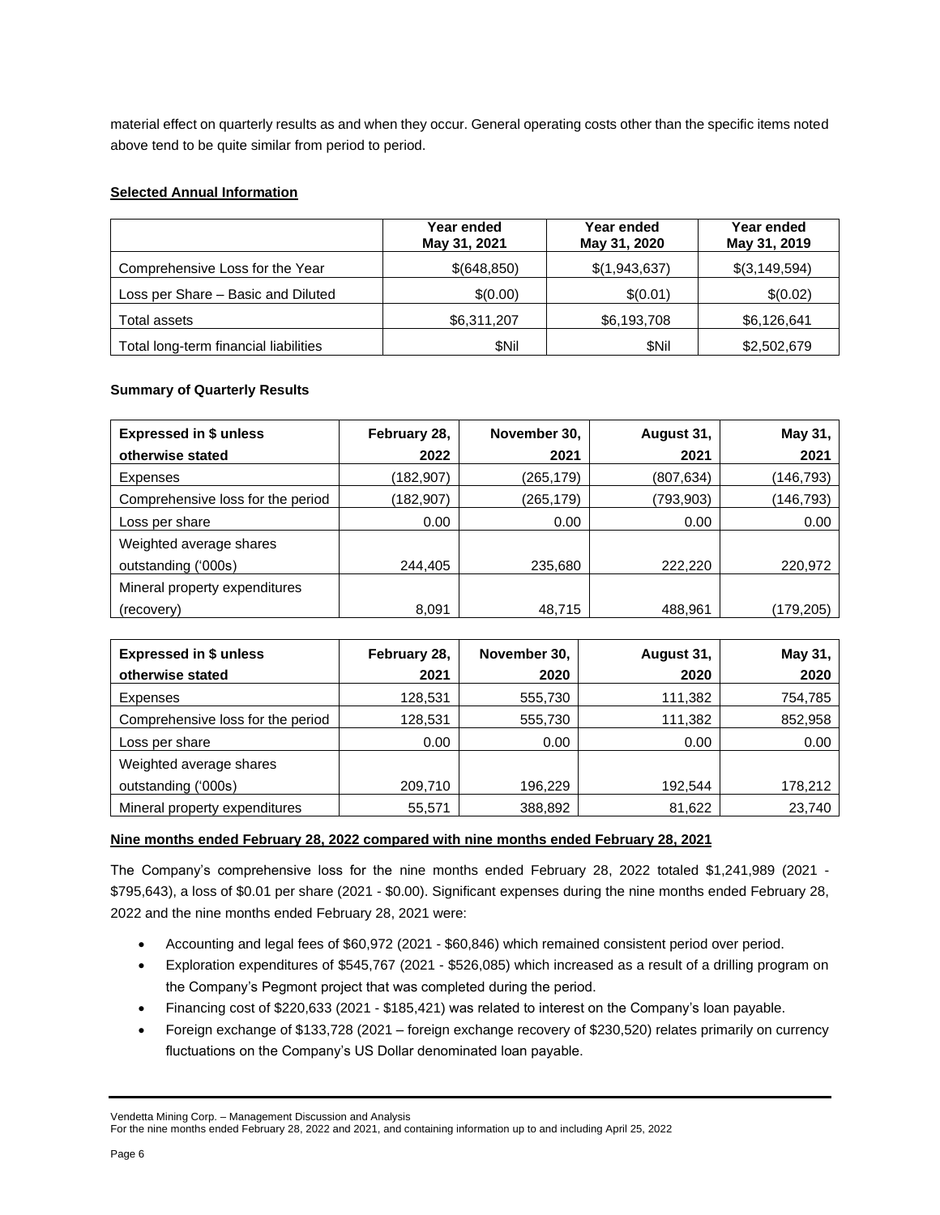material effect on quarterly results as and when they occur. General operating costs other than the specific items noted above tend to be quite similar from period to period.

## **Selected Annual Information**

|                                       | Year ended<br>May 31, 2021 | Year ended<br>May 31, 2020 | Year ended<br>May 31, 2019 |
|---------------------------------------|----------------------------|----------------------------|----------------------------|
| Comprehensive Loss for the Year       | \$(648,850)                | \$(1,943,637)              | \$(3,149,594)              |
| Loss per Share - Basic and Diluted    | \$(0.00)                   | \$(0.01)                   | \$(0.02)                   |
| Total assets                          | \$6,311,207                | \$6,193,708                | \$6,126,641                |
| Total long-term financial liabilities | \$Nil                      | \$Nil                      | \$2,502,679                |

## **Summary of Quarterly Results**

| <b>Expressed in \$ unless</b>     | February 28, | November 30, | August 31, | May 31,    |
|-----------------------------------|--------------|--------------|------------|------------|
| otherwise stated                  | 2022         | 2021         | 2021       | 2021       |
| Expenses                          | (182,907)    | (265,179)    | (807, 634) | (146, 793) |
| Comprehensive loss for the period | (182,907)    | (265,179)    | (793,903)  | (146, 793) |
| Loss per share                    | 0.00         | 0.00         | 0.00       | 0.00       |
| Weighted average shares           |              |              |            |            |
| outstanding ('000s)               | 244,405      | 235,680      | 222.220    | 220,972    |
| Mineral property expenditures     |              |              |            |            |
| (recovery)                        | 8,091        | 48,715       | 488,961    | (179,205)  |

| <b>Expressed in \$ unless</b>     | February 28,      | November 30, | August 31, | May 31, |
|-----------------------------------|-------------------|--------------|------------|---------|
| otherwise stated                  | 2021              | 2020         | 2020       | 2020    |
| Expenses                          | 128,531           | 555,730      | 111,382    | 754,785 |
| Comprehensive loss for the period | 128,531           | 555,730      | 111,382    | 852,958 |
| Loss per share                    | 0.00 <sub>1</sub> | 0.00         | 0.00       | 0.00    |
| Weighted average shares           |                   |              |            |         |
| outstanding ('000s)               | 209,710           | 196.229      | 192.544    | 178,212 |
| Mineral property expenditures     | 55,571            | 388,892      | 81,622     | 23,740  |

### **Nine months ended February 28, 2022 compared with nine months ended February 28, 2021**

The Company's comprehensive loss for the nine months ended February 28, 2022 totaled \$1,241,989 (2021 - \$795,643), a loss of \$0.01 per share (2021 - \$0.00). Significant expenses during the nine months ended February 28, 2022 and the nine months ended February 28, 2021 were:

- Accounting and legal fees of \$60,972 (2021 \$60,846) which remained consistent period over period.
- Exploration expenditures of \$545,767 (2021 \$526,085) which increased as a result of a drilling program on the Company's Pegmont project that was completed during the period.
- Financing cost of \$220,633 (2021 \$185,421) was related to interest on the Company's loan payable.
- Foreign exchange of \$133,728 (2021 foreign exchange recovery of \$230,520) relates primarily on currency fluctuations on the Company's US Dollar denominated loan payable.

Vendetta Mining Corp. – Management Discussion and Analysis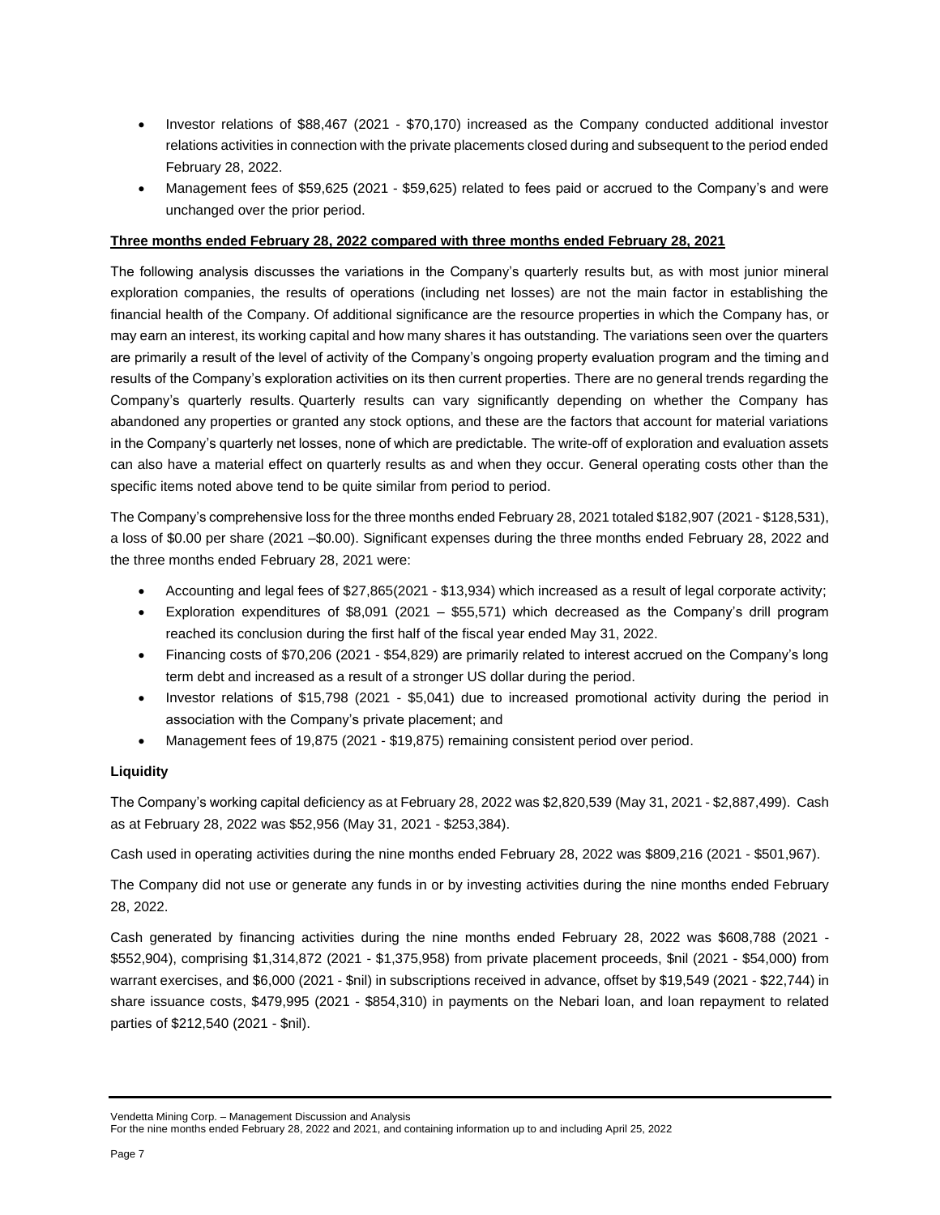- Investor relations of \$88,467 (2021 \$70,170) increased as the Company conducted additional investor relations activities in connection with the private placements closed during and subsequent to the period ended February 28, 2022.
- Management fees of \$59,625 (2021 \$59,625) related to fees paid or accrued to the Company's and were unchanged over the prior period.

## **Three months ended February 28, 2022 compared with three months ended February 28, 2021**

The following analysis discusses the variations in the Company's quarterly results but, as with most junior mineral exploration companies, the results of operations (including net losses) are not the main factor in establishing the financial health of the Company. Of additional significance are the resource properties in which the Company has, or may earn an interest, its working capital and how many shares it has outstanding. The variations seen over the quarters are primarily a result of the level of activity of the Company's ongoing property evaluation program and the timing and results of the Company's exploration activities on its then current properties. There are no general trends regarding the Company's quarterly results. Quarterly results can vary significantly depending on whether the Company has abandoned any properties or granted any stock options, and these are the factors that account for material variations in the Company's quarterly net losses, none of which are predictable. The write-off of exploration and evaluation assets can also have a material effect on quarterly results as and when they occur. General operating costs other than the specific items noted above tend to be quite similar from period to period.

The Company's comprehensive loss for the three months ended February 28, 2021 totaled \$182,907 (2021 - \$128,531), a loss of \$0.00 per share (2021 –\$0.00). Significant expenses during the three months ended February 28, 2022 and the three months ended February 28, 2021 were:

- Accounting and legal fees of \$27,865(2021 \$13,934) which increased as a result of legal corporate activity;
- Exploration expenditures of \$8,091 (2021 \$55,571) which decreased as the Company's drill program reached its conclusion during the first half of the fiscal year ended May 31, 2022.
- Financing costs of \$70,206 (2021 \$54,829) are primarily related to interest accrued on the Company's long term debt and increased as a result of a stronger US dollar during the period.
- Investor relations of \$15,798 (2021 \$5,041) due to increased promotional activity during the period in association with the Company's private placement; and
- Management fees of 19,875 (2021 \$19,875) remaining consistent period over period.

## **Liquidity**

The Company's working capital deficiency as at February 28, 2022 was \$2,820,539 (May 31, 2021 - \$2,887,499). Cash as at February 28, 2022 was \$52,956 (May 31, 2021 - \$253,384).

Cash used in operating activities during the nine months ended February 28, 2022 was \$809,216 (2021 - \$501,967).

The Company did not use or generate any funds in or by investing activities during the nine months ended February 28, 2022.

Cash generated by financing activities during the nine months ended February 28, 2022 was \$608,788 (2021 - \$552,904), comprising \$1,314,872 (2021 - \$1,375,958) from private placement proceeds, \$nil (2021 - \$54,000) from warrant exercises, and \$6,000 (2021 - \$nil) in subscriptions received in advance, offset by \$19,549 (2021 - \$22,744) in share issuance costs, \$479,995 (2021 - \$854,310) in payments on the Nebari loan, and loan repayment to related parties of \$212,540 (2021 - \$nil).

Vendetta Mining Corp. – Management Discussion and Analysis

For the nine months ended February 28, 2022 and 2021, and containing information up to and including April 25, 2022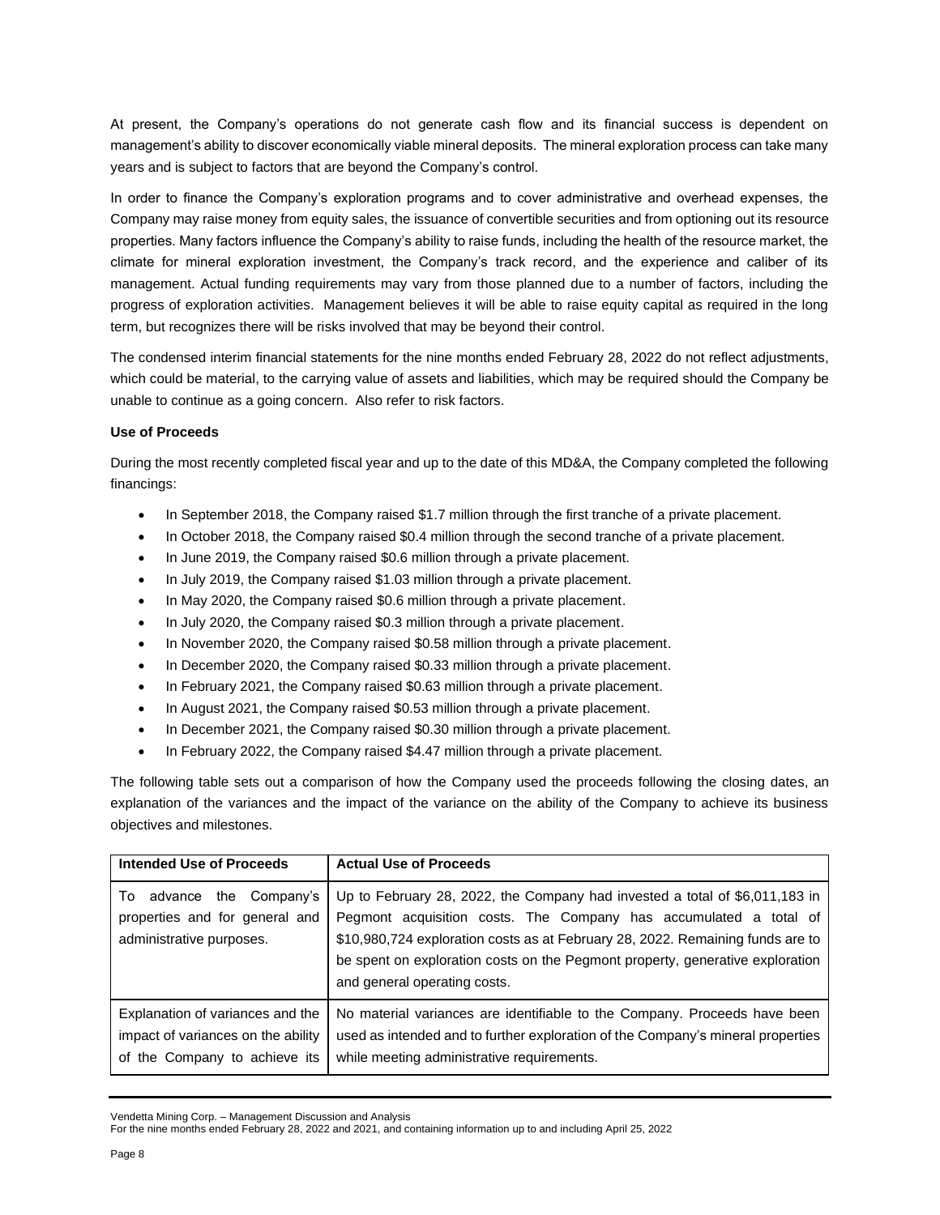At present, the Company's operations do not generate cash flow and its financial success is dependent on management's ability to discover economically viable mineral deposits. The mineral exploration process can take many years and is subject to factors that are beyond the Company's control.

In order to finance the Company's exploration programs and to cover administrative and overhead expenses, the Company may raise money from equity sales, the issuance of convertible securities and from optioning out its resource properties. Many factors influence the Company's ability to raise funds, including the health of the resource market, the climate for mineral exploration investment, the Company's track record, and the experience and caliber of its management. Actual funding requirements may vary from those planned due to a number of factors, including the progress of exploration activities. Management believes it will be able to raise equity capital as required in the long term, but recognizes there will be risks involved that may be beyond their control.

The condensed interim financial statements for the nine months ended February 28, 2022 do not reflect adjustments, which could be material, to the carrying value of assets and liabilities, which may be required should the Company be unable to continue as a going concern. Also refer to risk factors.

### **Use of Proceeds**

During the most recently completed fiscal year and up to the date of this MD&A, the Company completed the following financings:

- In September 2018, the Company raised \$1.7 million through the first tranche of a private placement.
- In October 2018, the Company raised \$0.4 million through the second tranche of a private placement.
- In June 2019, the Company raised \$0.6 million through a private placement.
- In July 2019, the Company raised \$1.03 million through a private placement.
- In May 2020, the Company raised \$0.6 million through a private placement.
- In July 2020, the Company raised \$0.3 million through a private placement.
- In November 2020, the Company raised \$0.58 million through a private placement.
- In December 2020, the Company raised \$0.33 million through a private placement.
- In February 2021, the Company raised \$0.63 million through a private placement.
- In August 2021, the Company raised \$0.53 million through a private placement.
- In December 2021, the Company raised \$0.30 million through a private placement.
- In February 2022, the Company raised \$4.47 million through a private placement.

The following table sets out a comparison of how the Company used the proceeds following the closing dates, an explanation of the variances and the impact of the variance on the ability of the Company to achieve its business objectives and milestones.

| Intended Use of Proceeds                                                                                   | <b>Actual Use of Proceeds</b>                                                                                                                                                                                                                                                                                                                       |
|------------------------------------------------------------------------------------------------------------|-----------------------------------------------------------------------------------------------------------------------------------------------------------------------------------------------------------------------------------------------------------------------------------------------------------------------------------------------------|
| advance the Company's<br>To<br>properties and for general and<br>administrative purposes.                  | Up to February 28, 2022, the Company had invested a total of \$6,011,183 in<br>Pegmont acquisition costs. The Company has accumulated a total of<br>\$10,980,724 exploration costs as at February 28, 2022. Remaining funds are to<br>be spent on exploration costs on the Pegmont property, generative exploration<br>and general operating costs. |
| Explanation of variances and the<br>impact of variances on the ability<br>the Company to achieve its<br>οf | No material variances are identifiable to the Company. Proceeds have been<br>used as intended and to further exploration of the Company's mineral properties<br>while meeting administrative requirements.                                                                                                                                          |

Vendetta Mining Corp. – Management Discussion and Analysis

For the nine months ended February 28, 2022 and 2021, and containing information up to and including April 25, 2022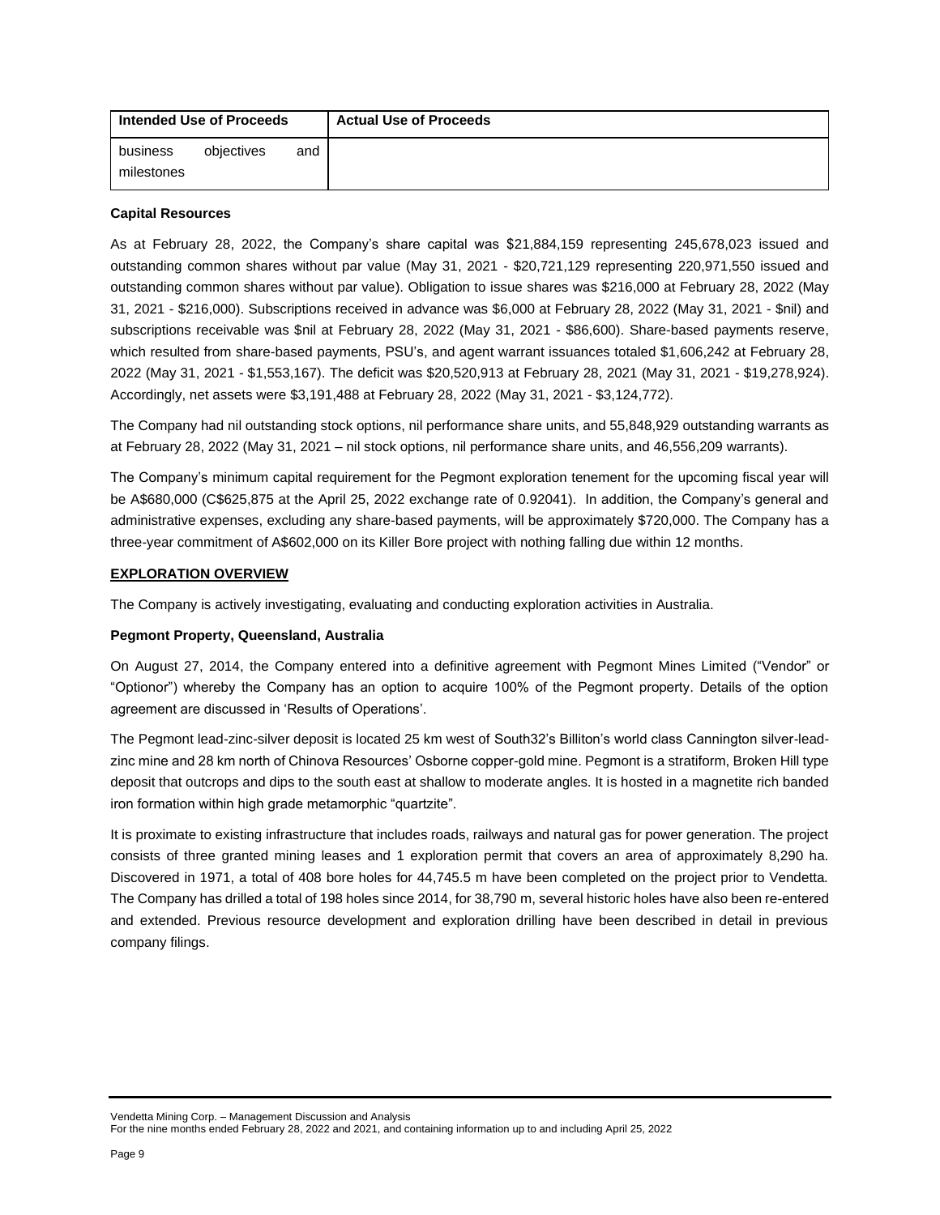| Intended Use of Proceeds |            |     | <b>Actual Use of Proceeds</b> |
|--------------------------|------------|-----|-------------------------------|
| business                 | obiectives | and |                               |
| milestones               |            |     |                               |

#### **Capital Resources**

As at February 28, 2022, the Company's share capital was \$21,884,159 representing 245,678,023 issued and outstanding common shares without par value (May 31, 2021 - \$20,721,129 representing 220,971,550 issued and outstanding common shares without par value). Obligation to issue shares was \$216,000 at February 28, 2022 (May 31, 2021 - \$216,000). Subscriptions received in advance was \$6,000 at February 28, 2022 (May 31, 2021 - \$nil) and subscriptions receivable was \$nil at February 28, 2022 (May 31, 2021 - \$86,600). Share-based payments reserve, which resulted from share-based payments, PSU's, and agent warrant issuances totaled \$1,606,242 at February 28, 2022 (May 31, 2021 - \$1,553,167). The deficit was \$20,520,913 at February 28, 2021 (May 31, 2021 - \$19,278,924). Accordingly, net assets were \$3,191,488 at February 28, 2022 (May 31, 2021 - \$3,124,772).

The Company had nil outstanding stock options, nil performance share units, and 55,848,929 outstanding warrants as at February 28, 2022 (May 31, 2021 – nil stock options, nil performance share units, and 46,556,209 warrants).

The Company's minimum capital requirement for the Pegmont exploration tenement for the upcoming fiscal year will be A\$680,000 (C\$625,875 at the April 25, 2022 exchange rate of 0.92041). In addition, the Company's general and administrative expenses, excluding any share-based payments, will be approximately \$720,000. The Company has a three-year commitment of A\$602,000 on its Killer Bore project with nothing falling due within 12 months.

### **EXPLORATION OVERVIEW**

The Company is actively investigating, evaluating and conducting exploration activities in Australia.

### **Pegmont Property, Queensland, Australia**

On August 27, 2014, the Company entered into a definitive agreement with Pegmont Mines Limited ("Vendor" or "Optionor") whereby the Company has an option to acquire 100% of the Pegmont property. Details of the option agreement are discussed in 'Results of Operations'.

The Pegmont lead-zinc-silver deposit is located 25 km west of South32's Billiton's world class Cannington silver-leadzinc mine and 28 km north of Chinova Resources' Osborne copper-gold mine. Pegmont is a stratiform, Broken Hill type deposit that outcrops and dips to the south east at shallow to moderate angles. It is hosted in a magnetite rich banded iron formation within high grade metamorphic "quartzite".

It is proximate to existing infrastructure that includes roads, railways and natural gas for power generation. The project consists of three granted mining leases and 1 exploration permit that covers an area of approximately 8,290 ha. Discovered in 1971, a total of 408 bore holes for 44,745.5 m have been completed on the project prior to Vendetta. The Company has drilled a total of 198 holes since 2014, for 38,790 m, several historic holes have also been re-entered and extended. Previous resource development and exploration drilling have been described in detail in previous company filings.

Vendetta Mining Corp. – Management Discussion and Analysis For the nine months ended February 28, 2022 and 2021, and containing information up to and including April 25, 2022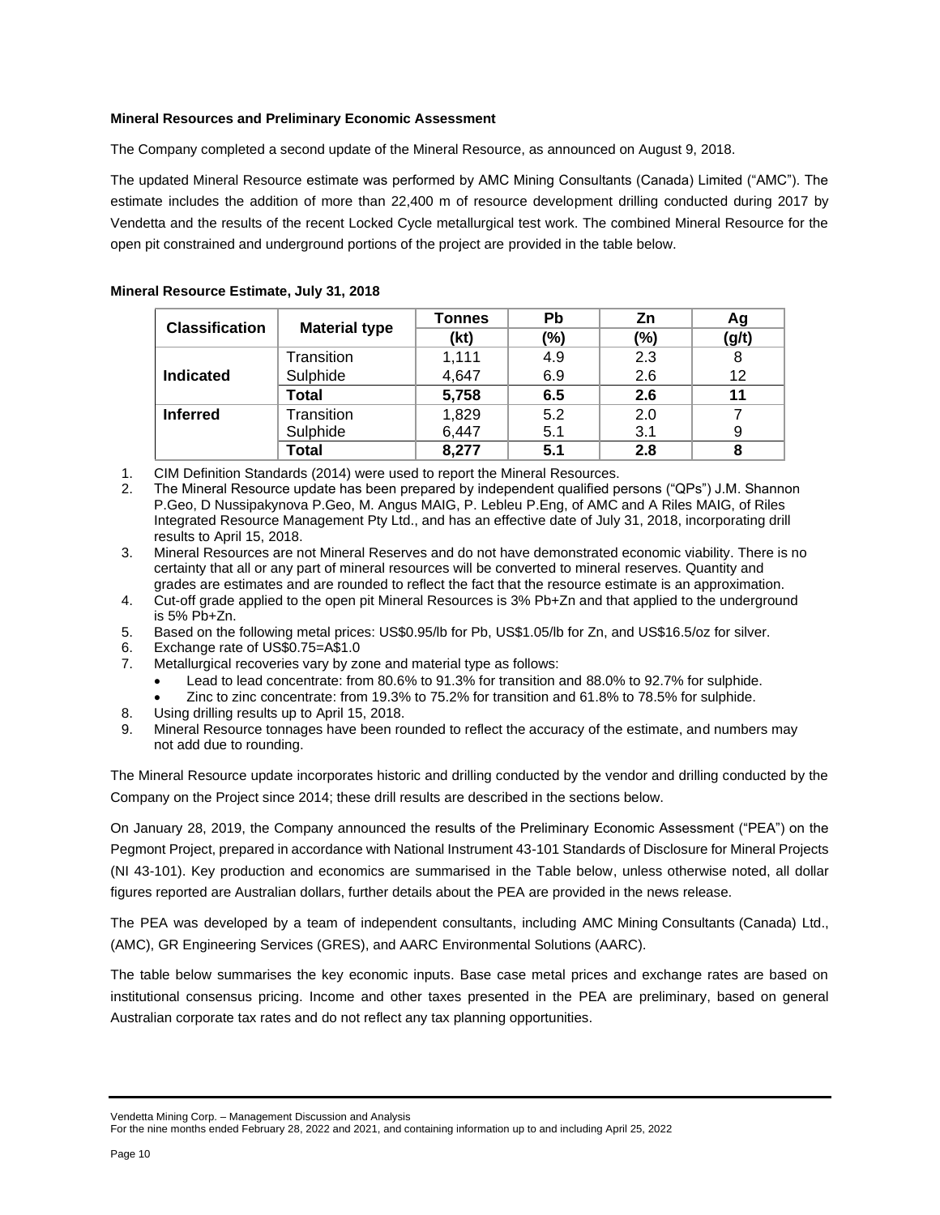## **Mineral Resources and Preliminary Economic Assessment**

The Company completed a second update of the Mineral Resource, as announced on August 9, 2018.

The updated Mineral Resource estimate was performed by AMC Mining Consultants (Canada) Limited ("AMC"). The estimate includes the addition of more than 22,400 m of resource development drilling conducted during 2017 by Vendetta and the results of the recent Locked Cycle metallurgical test work. The combined Mineral Resource for the open pit constrained and underground portions of the project are provided in the table below.

|                       |                      | <b>Tonnes</b> | Pb             | Zn  | Ag    |
|-----------------------|----------------------|---------------|----------------|-----|-------|
| <b>Classification</b> | <b>Material type</b> | (kt)          | $\frac{10}{6}$ | (%) | (g/t) |
|                       | Transition           | 1,111         | 4.9            | 2.3 |       |
| <b>Indicated</b>      | Sulphide             | 4,647         | 6.9            | 2.6 | 12    |
|                       | Total                | 5,758         | 6.5            | 2.6 | 11    |
| <b>Inferred</b>       | Transition           | 1,829         | 5.2            | 2.0 |       |
|                       | Sulphide             | 6,447         | 5.1            | 3.1 | 9     |
|                       | Total                | 8,277         | 5.1            | 2.8 |       |

#### **Mineral Resource Estimate, July 31, 2018**

1. CIM Definition Standards (2014) were used to report the Mineral Resources.

2. The Mineral Resource update has been prepared by independent qualified persons ("QPs") J.M. Shannon P.Geo, D Nussipakynova P.Geo, M. Angus MAIG, P. Lebleu P.Eng, of AMC and A Riles MAIG, of Riles Integrated Resource Management Pty Ltd., and has an effective date of July 31, 2018, incorporating drill results to April 15, 2018.

3. Mineral Resources are not Mineral Reserves and do not have demonstrated economic viability. There is no certainty that all or any part of mineral resources will be converted to mineral reserves. Quantity and grades are estimates and are rounded to reflect the fact that the resource estimate is an approximation.

- 4. Cut-off grade applied to the open pit Mineral Resources is 3% Pb+Zn and that applied to the underground is 5% Pb+Zn.
- 5. Based on the following metal prices: US\$0.95/lb for Pb, US\$1.05/lb for Zn, and US\$16.5/oz for silver.
- 6. Exchange rate of US\$0.75=A\$1.0
- 7. Metallurgical recoveries vary by zone and material type as follows:
	- Lead to lead concentrate: from 80.6% to 91.3% for transition and 88.0% to 92.7% for sulphide.
	- Zinc to zinc concentrate: from 19.3% to 75.2% for transition and 61.8% to 78.5% for sulphide.
- 8. Using drilling results up to April 15, 2018.
- Mineral Resource tonnages have been rounded to reflect the accuracy of the estimate, and numbers may not add due to rounding.

The Mineral Resource update incorporates historic and drilling conducted by the vendor and drilling conducted by the Company on the Project since 2014; these drill results are described in the sections below.

On January 28, 2019, the Company announced the results of the Preliminary Economic Assessment ("PEA") on the Pegmont Project, prepared in accordance with National Instrument 43-101 Standards of Disclosure for Mineral Projects (NI 43-101). Key production and economics are summarised in the Table below, unless otherwise noted, all dollar figures reported are Australian dollars, further details about the PEA are provided in the news release.

The PEA was developed by a team of independent consultants, including AMC Mining Consultants (Canada) Ltd., (AMC), GR Engineering Services (GRES), and AARC Environmental Solutions (AARC).

The table below summarises the key economic inputs. Base case metal prices and exchange rates are based on institutional consensus pricing. Income and other taxes presented in the PEA are preliminary, based on general Australian corporate tax rates and do not reflect any tax planning opportunities.

Vendetta Mining Corp. – Management Discussion and Analysis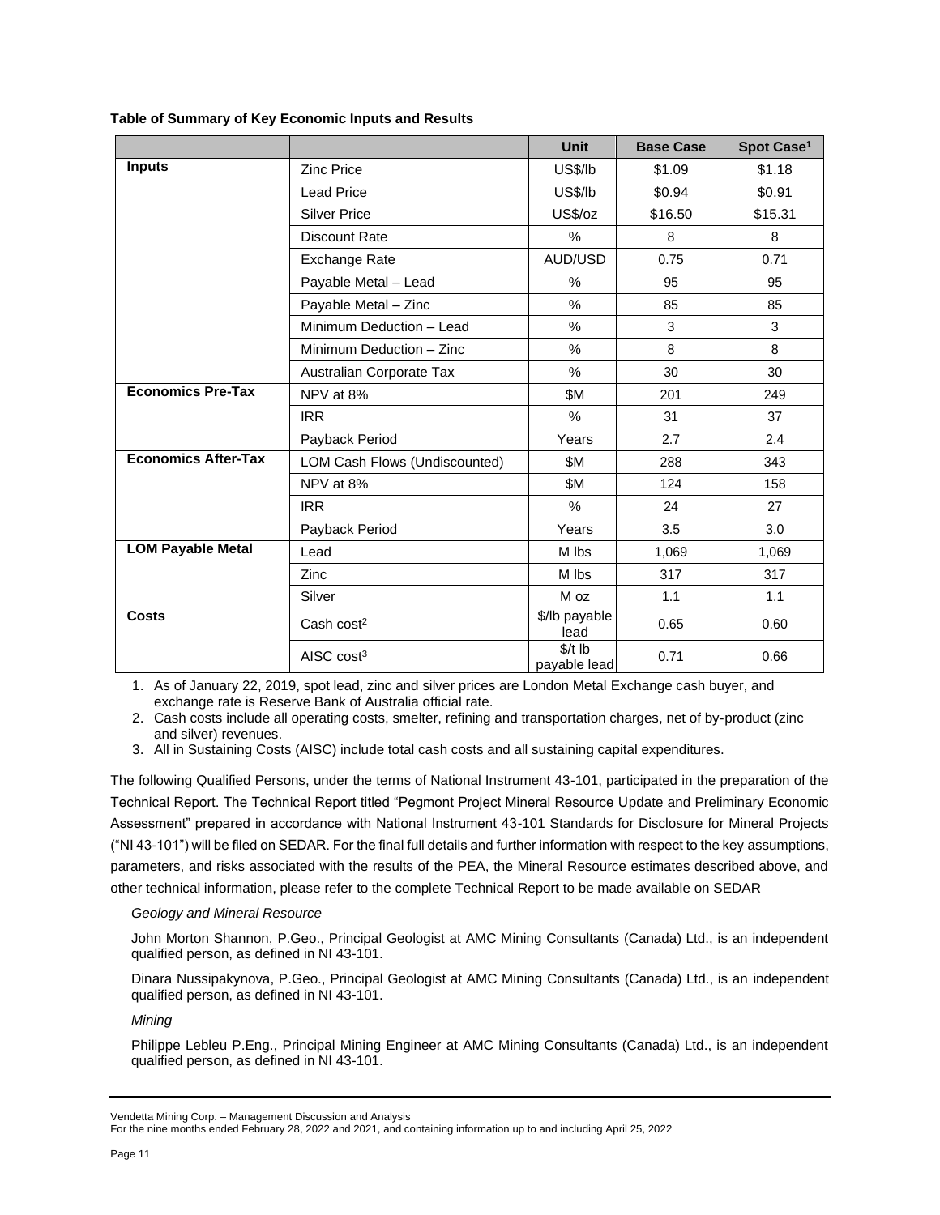### **Table of Summary of Key Economic Inputs and Results**

|                            |                               | <b>Unit</b>              | <b>Base Case</b> | Spot Case <sup>1</sup> |
|----------------------------|-------------------------------|--------------------------|------------------|------------------------|
| <b>Inputs</b>              | <b>Zinc Price</b>             | US\$/lb                  | \$1.09           | \$1.18                 |
|                            | <b>Lead Price</b>             | <b>US\$/lb</b>           | \$0.94           | \$0.91                 |
|                            | <b>Silver Price</b>           | US\$/oz                  | \$16.50          | \$15.31                |
|                            | Discount Rate                 | %                        | 8                | 8                      |
|                            | Exchange Rate                 | AUD/USD                  | 0.75             | 0.71                   |
|                            | Payable Metal - Lead          | $\%$                     | 95               | 95                     |
|                            | Payable Metal - Zinc          | $\%$                     | 85               | 85                     |
|                            | Minimum Deduction - Lead      | %                        | 3                | 3                      |
|                            | Minimum Deduction - Zinc      | %                        | 8                | 8                      |
|                            | Australian Corporate Tax      | %                        | 30               | 30                     |
| <b>Economics Pre-Tax</b>   | NPV at 8%                     | \$M                      | 201              | 249                    |
|                            | <b>IRR</b>                    | $\frac{0}{0}$            | 31               | 37                     |
|                            | Payback Period                | Years                    | 2.7              | 2.4                    |
| <b>Economics After-Tax</b> | LOM Cash Flows (Undiscounted) | \$Μ                      | 288              | 343                    |
|                            | NPV at 8%                     | \$Μ                      | 124              | 158                    |
|                            | <b>IRR</b>                    | $\%$                     | 24               | 27                     |
|                            | Payback Period                | Years                    | 3.5              | 3.0                    |
| <b>LOM Payable Metal</b>   | Lead                          | M lbs                    | 1,069            | 1,069                  |
|                            | Zinc                          | M lbs                    | 317              | 317                    |
|                            | Silver                        | M oz                     | 1.1              | 1.1                    |
| <b>Costs</b>               | Cash $cost2$                  | \$/lb payable<br>lead    | 0.65             | 0.60                   |
|                            | AISC $cost3$                  | $$/t$ lb<br>payable lead | 0.71             | 0.66                   |

1. As of January 22, 2019, spot lead, zinc and silver prices are London Metal Exchange cash buyer, and exchange rate is Reserve Bank of Australia official rate.

2. Cash costs include all operating costs, smelter, refining and transportation charges, net of by‐product (zinc and silver) revenues.

3. All in Sustaining Costs (AISC) include total cash costs and all sustaining capital expenditures.

The following Qualified Persons, under the terms of National Instrument 43-101, participated in the preparation of the Technical Report. The Technical Report titled "Pegmont Project Mineral Resource Update and Preliminary Economic Assessment" prepared in accordance with National Instrument 43-101 Standards for Disclosure for Mineral Projects ("NI 43-101") will be filed on SEDAR. For the final full details and further information with respect to the key assumptions, parameters, and risks associated with the results of the PEA, the Mineral Resource estimates described above, and other technical information, please refer to the complete Technical Report to be made available on SEDAR

### *Geology and Mineral Resource*

John Morton Shannon, P.Geo., Principal Geologist at AMC Mining Consultants (Canada) Ltd., is an independent qualified person, as defined in NI 43-101.

Dinara Nussipakynova, P.Geo., Principal Geologist at AMC Mining Consultants (Canada) Ltd., is an independent qualified person, as defined in NI 43-101.

*Mining*

Philippe Lebleu P.Eng., Principal Mining Engineer at AMC Mining Consultants (Canada) Ltd., is an independent qualified person, as defined in NI 43-101.

Vendetta Mining Corp. – Management Discussion and Analysis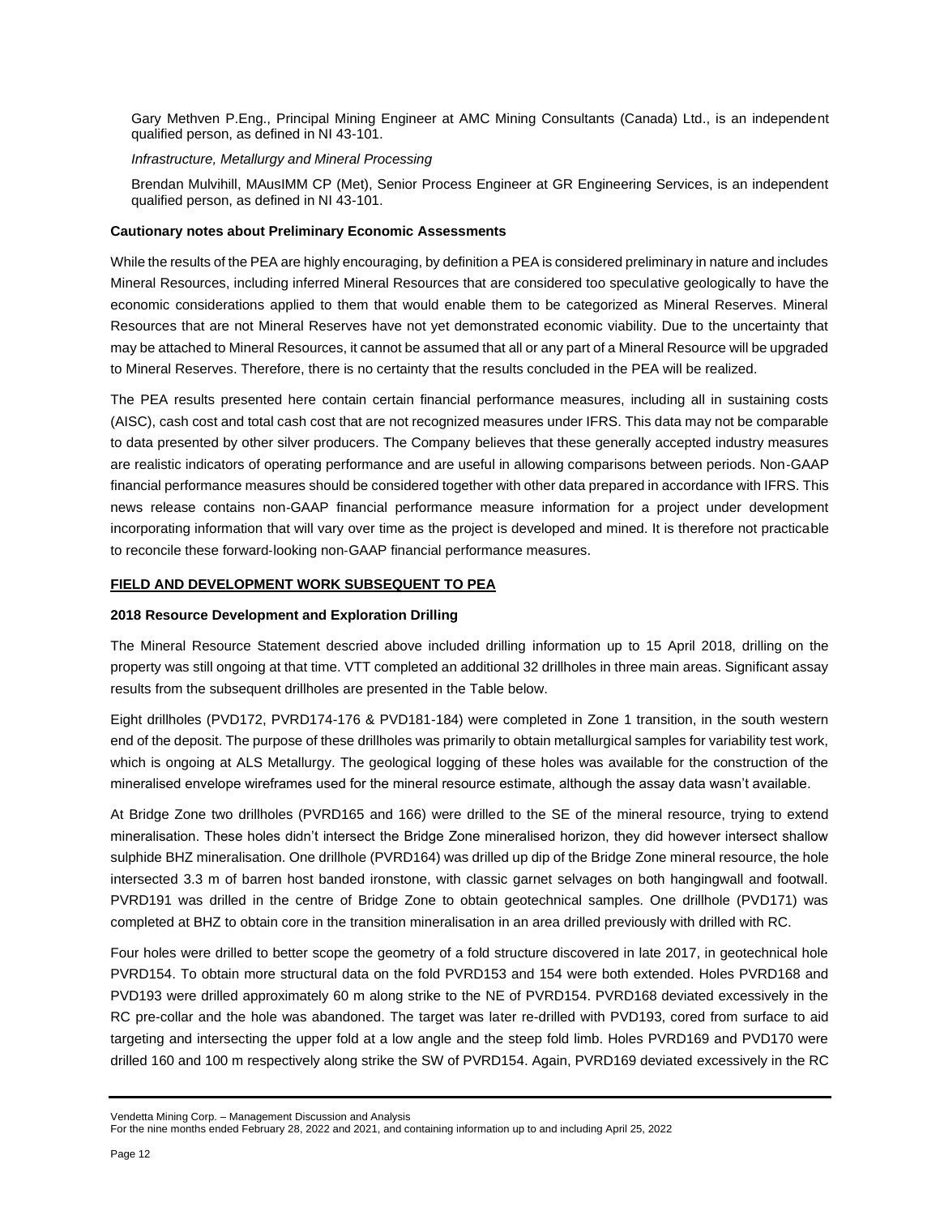Gary Methven P.Eng., Principal Mining Engineer at AMC Mining Consultants (Canada) Ltd., is an independent qualified person, as defined in NI 43-101.

#### *Infrastructure, Metallurgy and Mineral Processing*

Brendan Mulvihill, MAusIMM CP (Met), Senior Process Engineer at GR Engineering Services, is an independent qualified person, as defined in NI 43-101.

#### **Cautionary notes about Preliminary Economic Assessments**

While the results of the PEA are highly encouraging, by definition a PEA is considered preliminary in nature and includes Mineral Resources, including inferred Mineral Resources that are considered too speculative geologically to have the economic considerations applied to them that would enable them to be categorized as Mineral Reserves. Mineral Resources that are not Mineral Reserves have not yet demonstrated economic viability. Due to the uncertainty that may be attached to Mineral Resources, it cannot be assumed that all or any part of a Mineral Resource will be upgraded to Mineral Reserves. Therefore, there is no certainty that the results concluded in the PEA will be realized.

The PEA results presented here contain certain financial performance measures, including all in sustaining costs (AISC), cash cost and total cash cost that are not recognized measures under IFRS. This data may not be comparable to data presented by other silver producers. The Company believes that these generally accepted industry measures are realistic indicators of operating performance and are useful in allowing comparisons between periods. Non‐GAAP financial performance measures should be considered together with other data prepared in accordance with IFRS. This news release contains non‐GAAP financial performance measure information for a project under development incorporating information that will vary over time as the project is developed and mined. It is therefore not practicable to reconcile these forward‐looking non‐GAAP financial performance measures.

### **FIELD AND DEVELOPMENT WORK SUBSEQUENT TO PEA**

#### **2018 Resource Development and Exploration Drilling**

The Mineral Resource Statement descried above included drilling information up to 15 April 2018, drilling on the property was still ongoing at that time. VTT completed an additional 32 drillholes in three main areas. Significant assay results from the subsequent drillholes are presented in the Table below.

Eight drillholes (PVD172, PVRD174-176 & PVD181-184) were completed in Zone 1 transition, in the south western end of the deposit. The purpose of these drillholes was primarily to obtain metallurgical samples for variability test work, which is ongoing at ALS Metallurgy. The geological logging of these holes was available for the construction of the mineralised envelope wireframes used for the mineral resource estimate, although the assay data wasn't available.

At Bridge Zone two drillholes (PVRD165 and 166) were drilled to the SE of the mineral resource, trying to extend mineralisation. These holes didn't intersect the Bridge Zone mineralised horizon, they did however intersect shallow sulphide BHZ mineralisation. One drillhole (PVRD164) was drilled up dip of the Bridge Zone mineral resource, the hole intersected 3.3 m of barren host banded ironstone, with classic garnet selvages on both hangingwall and footwall. PVRD191 was drilled in the centre of Bridge Zone to obtain geotechnical samples. One drillhole (PVD171) was completed at BHZ to obtain core in the transition mineralisation in an area drilled previously with drilled with RC.

Four holes were drilled to better scope the geometry of a fold structure discovered in late 2017, in geotechnical hole PVRD154. To obtain more structural data on the fold PVRD153 and 154 were both extended. Holes PVRD168 and PVD193 were drilled approximately 60 m along strike to the NE of PVRD154. PVRD168 deviated excessively in the RC pre-collar and the hole was abandoned. The target was later re-drilled with PVD193, cored from surface to aid targeting and intersecting the upper fold at a low angle and the steep fold limb. Holes PVRD169 and PVD170 were drilled 160 and 100 m respectively along strike the SW of PVRD154. Again, PVRD169 deviated excessively in the RC

Vendetta Mining Corp. – Management Discussion and Analysis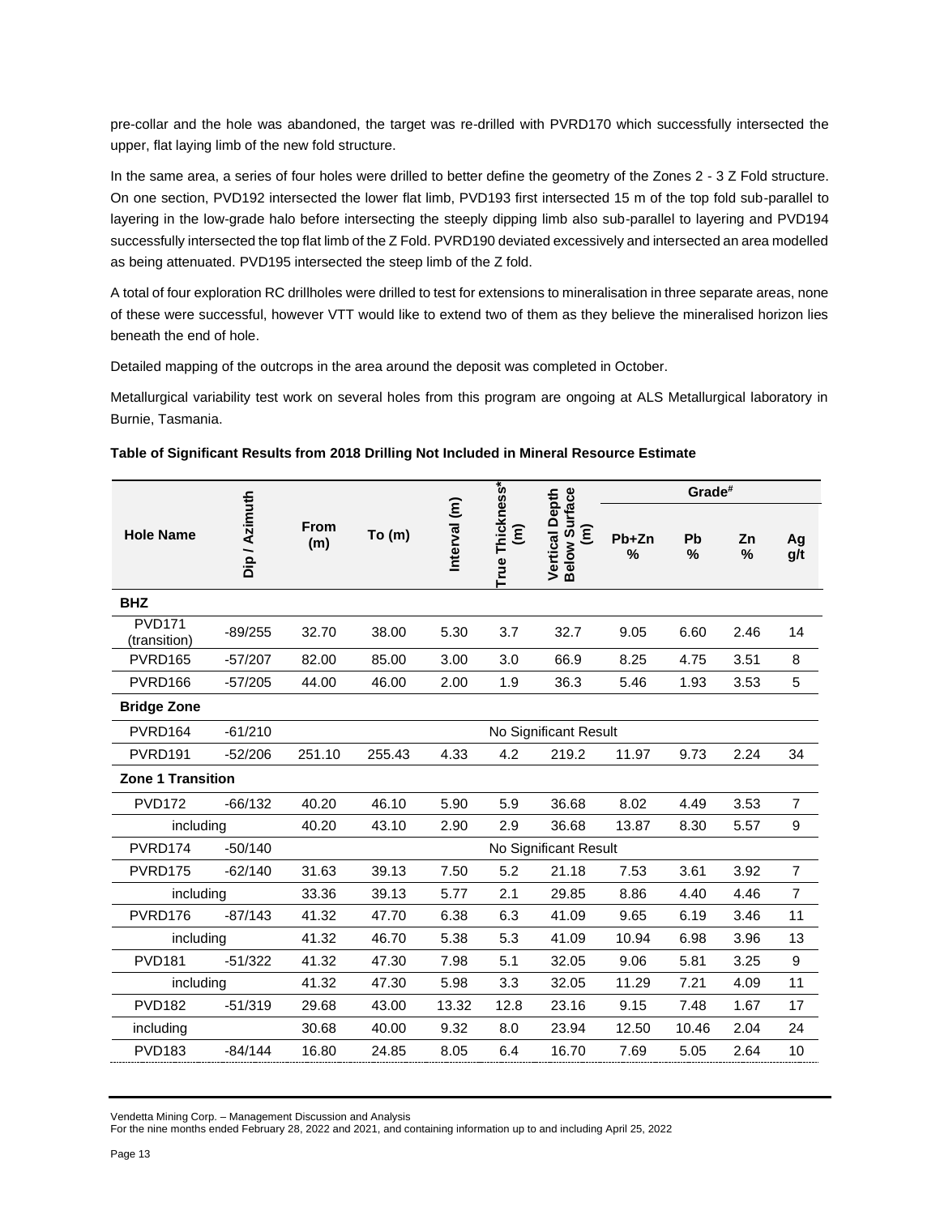pre-collar and the hole was abandoned, the target was re-drilled with PVRD170 which successfully intersected the upper, flat laying limb of the new fold structure.

In the same area, a series of four holes were drilled to better define the geometry of the Zones 2 - 3 Z Fold structure. On one section, PVD192 intersected the lower flat limb, PVD193 first intersected 15 m of the top fold sub-parallel to layering in the low-grade halo before intersecting the steeply dipping limb also sub-parallel to layering and PVD194 successfully intersected the top flat limb of the Z Fold. PVRD190 deviated excessively and intersected an area modelled as being attenuated. PVD195 intersected the steep limb of the Z fold.

A total of four exploration RC drillholes were drilled to test for extensions to mineralisation in three separate areas, none of these were successful, however VTT would like to extend two of them as they believe the mineralised horizon lies beneath the end of hole.

Detailed mapping of the outcrops in the area around the deposit was completed in October.

Metallurgical variability test work on several holes from this program are ongoing at ALS Metallurgical laboratory in Burnie, Tasmania.

|                               |               |             |        |              | Grade#               |                                                                      |            |         |         |                  |
|-------------------------------|---------------|-------------|--------|--------------|----------------------|----------------------------------------------------------------------|------------|---------|---------|------------------|
| <b>Hole Name</b>              | Dip / Azimuth | From<br>(m) | To(m)  | Interval (m) | True Thickness*<br>έ | Vertical Depth<br>Below Surface<br>$\widehat{\boldsymbol{\epsilon}}$ | Pb+Zn<br>% | Pb<br>% | Zn<br>% | Ag<br>g/t        |
| <b>BHZ</b>                    |               |             |        |              |                      |                                                                      |            |         |         |                  |
| <b>PVD171</b><br>(transition) | $-89/255$     | 32.70       | 38.00  | 5.30         | 3.7                  | 32.7                                                                 | 9.05       | 6.60    | 2.46    | 14               |
| PVRD165                       | $-57/207$     | 82.00       | 85.00  | 3.00         | 3.0                  | 66.9                                                                 | 8.25       | 4.75    | 3.51    | 8                |
| PVRD166                       | $-57/205$     | 44.00       | 46.00  | 2.00         | 1.9                  | 36.3                                                                 | 5.46       | 1.93    | 3.53    | 5                |
| <b>Bridge Zone</b>            |               |             |        |              |                      |                                                                      |            |         |         |                  |
| PVRD164                       | $-61/210$     |             |        |              |                      | No Significant Result                                                |            |         |         |                  |
| PVRD <sub>191</sub>           | $-52/206$     | 251.10      | 255.43 | 4.33         | 4.2                  | 219.2                                                                | 11.97      | 9.73    | 2.24    | 34               |
| Zone 1 Transition             |               |             |        |              |                      |                                                                      |            |         |         |                  |
| <b>PVD172</b>                 | $-66/132$     | 40.20       | 46.10  | 5.90         | 5.9                  | 36.68                                                                | 8.02       | 4.49    | 3.53    | $\overline{7}$   |
| including                     |               | 40.20       | 43.10  | 2.90         | 2.9                  | 36.68                                                                | 13.87      | 8.30    | 5.57    | 9                |
| PVRD174                       | $-50/140$     |             |        |              |                      | No Significant Result                                                |            |         |         |                  |
| PVRD175                       | $-62/140$     | 31.63       | 39.13  | 7.50         | 5.2                  | 21.18                                                                | 7.53       | 3.61    | 3.92    | $\overline{7}$   |
| including                     |               | 33.36       | 39.13  | 5.77         | 2.1                  | 29.85                                                                | 8.86       | 4.40    | 4.46    | $\overline{7}$   |
| PVRD176                       | $-87/143$     | 41.32       | 47.70  | 6.38         | 6.3                  | 41.09                                                                | 9.65       | 6.19    | 3.46    | 11               |
| including                     |               | 41.32       | 46.70  | 5.38         | 5.3                  | 41.09                                                                | 10.94      | 6.98    | 3.96    | 13               |
| <b>PVD181</b>                 | $-51/322$     | 41.32       | 47.30  | 7.98         | 5.1                  | 32.05                                                                | 9.06       | 5.81    | 3.25    | $\boldsymbol{9}$ |
| including                     |               | 41.32       | 47.30  | 5.98         | 3.3                  | 32.05                                                                | 11.29      | 7.21    | 4.09    | 11               |
| <b>PVD182</b>                 | $-51/319$     | 29.68       | 43.00  | 13.32        | 12.8                 | 23.16                                                                | 9.15       | 7.48    | 1.67    | 17               |
| including                     |               | 30.68       | 40.00  | 9.32         | 8.0                  | 23.94                                                                | 12.50      | 10.46   | 2.04    | 24               |
| <b>PVD183</b>                 | $-84/144$     | 16.80       | 24.85  | 8.05         | 6.4                  | 16.70                                                                | 7.69       | 5.05    | 2.64    | 10               |

**Table of Significant Results from 2018 Drilling Not Included in Mineral Resource Estimate**

Vendetta Mining Corp. – Management Discussion and Analysis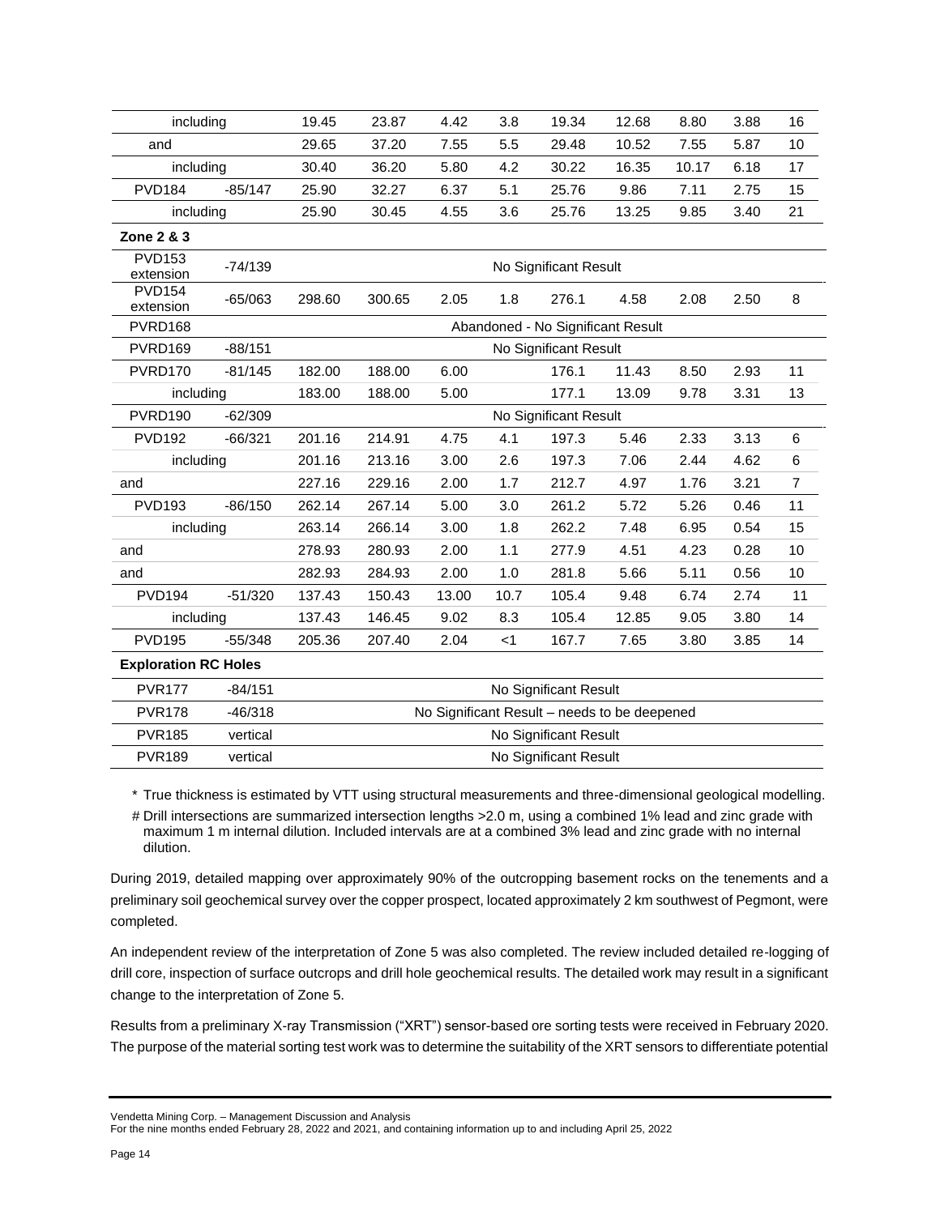| including                   |           | 19.45                                        | 23.87  | 4.42  | 3.8   | 19.34                             | 12.68 | 8.80  | 3.88 | 16             |
|-----------------------------|-----------|----------------------------------------------|--------|-------|-------|-----------------------------------|-------|-------|------|----------------|
| and                         |           | 29.65                                        | 37.20  | 7.55  | 5.5   | 29.48                             | 10.52 | 7.55  | 5.87 | 10             |
| including                   |           | 30.40                                        | 36.20  | 5.80  | 4.2   | 30.22                             | 16.35 | 10.17 | 6.18 | 17             |
| <b>PVD184</b>               | $-85/147$ | 25.90                                        | 32.27  | 6.37  | 5.1   | 25.76                             | 9.86  | 7.11  | 2.75 | 15             |
| including                   |           | 25.90                                        | 30.45  | 4.55  | 3.6   | 25.76                             | 13.25 | 9.85  | 3.40 | 21             |
| Zone 2 & 3                  |           |                                              |        |       |       |                                   |       |       |      |                |
| <b>PVD153</b><br>extension  | $-74/139$ |                                              |        |       |       | No Significant Result             |       |       |      |                |
| <b>PVD154</b><br>extension  | $-65/063$ | 298.60                                       | 300.65 | 2.05  | 1.8   | 276.1                             | 4.58  | 2.08  | 2.50 | 8              |
| PVRD168                     |           |                                              |        |       |       | Abandoned - No Significant Result |       |       |      |                |
| PVRD169                     | $-88/151$ |                                              |        |       |       | No Significant Result             |       |       |      |                |
| PVRD170                     | $-81/145$ | 182.00                                       | 188.00 | 6.00  |       | 176.1                             | 11.43 | 8.50  | 2.93 | 11             |
| including                   |           | 183.00                                       | 188.00 | 5.00  |       | 177.1                             | 13.09 | 9.78  | 3.31 | 13             |
| PVRD190                     | $-62/309$ |                                              |        |       |       | No Significant Result             |       |       |      |                |
| <b>PVD192</b>               | $-66/321$ | 201.16                                       | 214.91 | 4.75  | 4.1   | 197.3                             | 5.46  | 2.33  | 3.13 | 6              |
| including                   |           | 201.16                                       | 213.16 | 3.00  | 2.6   | 197.3                             | 7.06  | 2.44  | 4.62 | 6              |
| and                         |           | 227.16                                       | 229.16 | 2.00  | 1.7   | 212.7                             | 4.97  | 1.76  | 3.21 | $\overline{7}$ |
| <b>PVD193</b>               | $-86/150$ | 262.14                                       | 267.14 | 5.00  | 3.0   | 261.2                             | 5.72  | 5.26  | 0.46 | 11             |
| including                   |           | 263.14                                       | 266.14 | 3.00  | 1.8   | 262.2                             | 7.48  | 6.95  | 0.54 | 15             |
| and                         |           | 278.93                                       | 280.93 | 2.00  | 1.1   | 277.9                             | 4.51  | 4.23  | 0.28 | 10             |
| and                         |           | 282.93                                       | 284.93 | 2.00  | 1.0   | 281.8                             | 5.66  | 5.11  | 0.56 | 10             |
| <b>PVD194</b>               | $-51/320$ | 137.43                                       | 150.43 | 13.00 | 10.7  | 105.4                             | 9.48  | 6.74  | 2.74 | 11             |
| including                   |           | 137.43                                       | 146.45 | 9.02  | 8.3   | 105.4                             | 12.85 | 9.05  | 3.80 | 14             |
| <b>PVD195</b>               | $-55/348$ | 205.36                                       | 207.40 | 2.04  | $<$ 1 | 167.7                             | 7.65  | 3.80  | 3.85 | 14             |
| <b>Exploration RC Holes</b> |           |                                              |        |       |       |                                   |       |       |      |                |
| <b>PVR177</b>               | $-84/151$ |                                              |        |       |       | No Significant Result             |       |       |      |                |
| <b>PVR178</b>               | $-46/318$ | No Significant Result - needs to be deepened |        |       |       |                                   |       |       |      |                |
| <b>PVR185</b>               | vertical  |                                              |        |       |       | No Significant Result             |       |       |      |                |
| <b>PVR189</b>               | vertical  | No Significant Result                        |        |       |       |                                   |       |       |      |                |

\* True thickness is estimated by VTT using structural measurements and three-dimensional geological modelling.

# Drill intersections are summarized intersection lengths >2.0 m, using a combined 1% lead and zinc grade with maximum 1 m internal dilution. Included intervals are at a combined 3% lead and zinc grade with no internal dilution.

During 2019, detailed mapping over approximately 90% of the outcropping basement rocks on the tenements and a preliminary soil geochemical survey over the copper prospect, located approximately 2 km southwest of Pegmont, were completed.

An independent review of the interpretation of Zone 5 was also completed. The review included detailed re-logging of drill core, inspection of surface outcrops and drill hole geochemical results. The detailed work may result in a significant change to the interpretation of Zone 5.

Results from a preliminary X-ray Transmission ("XRT") sensor-based ore sorting tests were received in February 2020. The purpose of the material sorting test work was to determine the suitability of the XRT sensors to differentiate potential

Vendetta Mining Corp. – Management Discussion and Analysis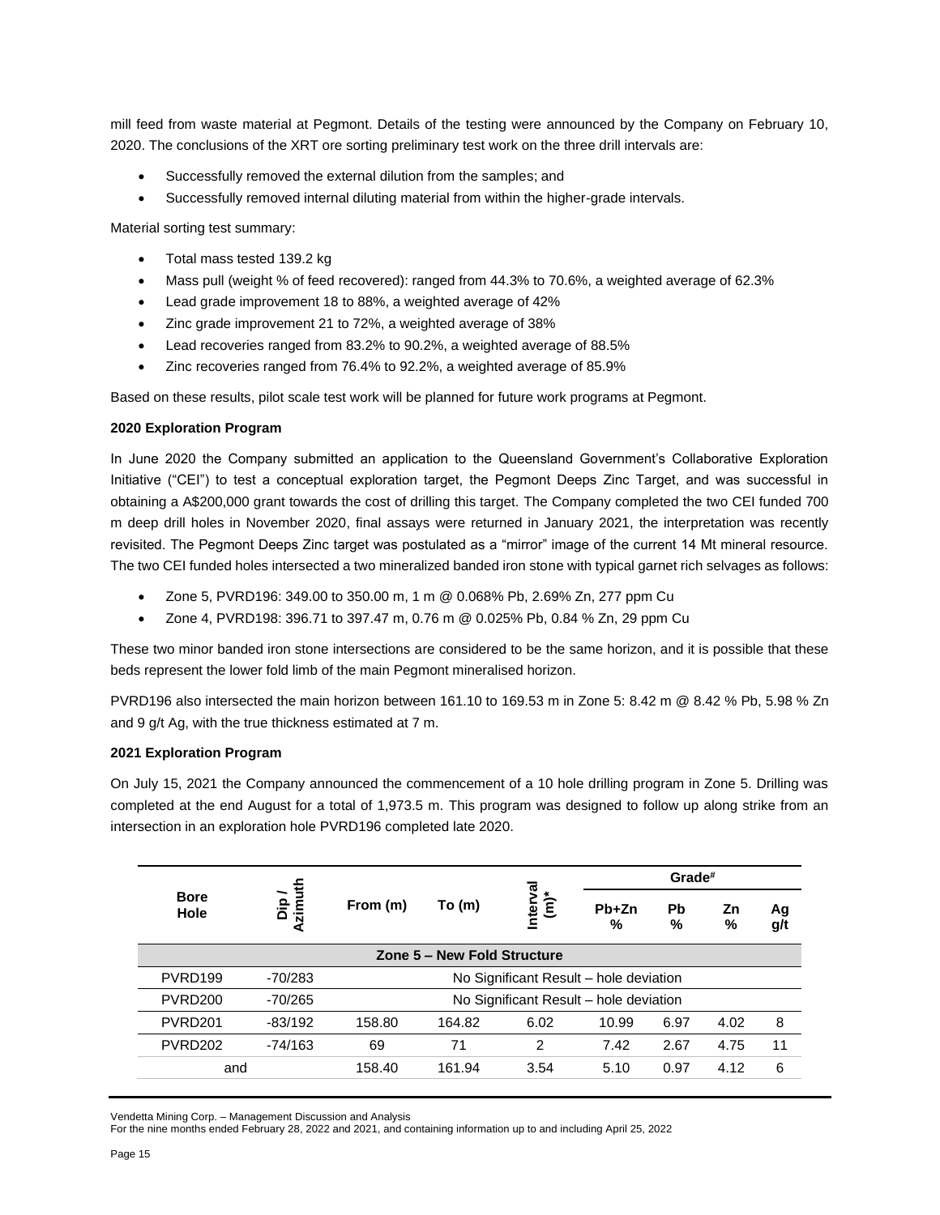mill feed from waste material at Pegmont. Details of the testing were announced by the Company on February 10, 2020. The conclusions of the XRT ore sorting preliminary test work on the three drill intervals are:

- Successfully removed the external dilution from the samples; and
- Successfully removed internal diluting material from within the higher-grade intervals.

Material sorting test summary:

- Total mass tested 139.2 kg
- Mass pull (weight % of feed recovered): ranged from 44.3% to 70.6%, a weighted average of 62.3%
- Lead grade improvement 18 to 88%, a weighted average of 42%
- Zinc grade improvement 21 to 72%, a weighted average of 38%
- Lead recoveries ranged from 83.2% to 90.2%, a weighted average of 88.5%
- Zinc recoveries ranged from 76.4% to 92.2%, a weighted average of 85.9%

Based on these results, pilot scale test work will be planned for future work programs at Pegmont.

### **2020 Exploration Program**

In June 2020 the Company submitted an application to the Queensland Government's Collaborative Exploration Initiative ("CEI") to test a conceptual exploration target, the Pegmont Deeps Zinc Target, and was successful in obtaining a A\$200,000 grant towards the cost of drilling this target. The Company completed the two CEI funded 700 m deep drill holes in November 2020, final assays were returned in January 2021, the interpretation was recently revisited. The Pegmont Deeps Zinc target was postulated as a "mirror" image of the current 14 Mt mineral resource. The two CEI funded holes intersected a two mineralized banded iron stone with typical garnet rich selvages as follows:

- Zone 5, PVRD196: 349.00 to 350.00 m, 1 m @ 0.068% Pb, 2.69% Zn, 277 ppm Cu
- Zone 4, PVRD198: 396.71 to 397.47 m, 0.76 m @ 0.025% Pb, 0.84 % Zn, 29 ppm Cu

These two minor banded iron stone intersections are considered to be the same horizon, and it is possible that these beds represent the lower fold limb of the main Pegmont mineralised horizon.

PVRD196 also intersected the main horizon between 161.10 to 169.53 m in Zone 5: 8.42 m @ 8.42 % Pb, 5.98 % Zn and 9 g/t Ag, with the true thickness estimated at 7 m.

### **2021 Exploration Program**

On July 15, 2021 the Company announced the commencement of a 10 hole drilling program in Zone 5. Drilling was completed at the end August for a total of 1,973.5 m. This program was designed to follow up along strike from an intersection in an exploration hole PVRD196 completed late 2020.

|                     |                                                     |                                                  |                             | Grade#                                 |              |         |         |           |
|---------------------|-----------------------------------------------------|--------------------------------------------------|-----------------------------|----------------------------------------|--------------|---------|---------|-----------|
| <b>Bore</b><br>Hole | Dip /<br>Azimuth<br>$\frac{\mathsf{a}}{\mathsf{a}}$ | From (m)                                         | To $(m)$                    | Interval<br>(m)*                       | $Pb+Zn$<br>% | Pb<br>% | Ζn<br>% | Ag<br>g/t |
|                     |                                                     |                                                  | Zone 5 - New Fold Structure |                                        |              |         |         |           |
| PVRD <sub>199</sub> | $-70/283$                                           |                                                  |                             | No Significant Result - hole deviation |              |         |         |           |
| PVRD <sub>200</sub> | $-70/265$                                           |                                                  |                             | No Significant Result - hole deviation |              |         |         |           |
| PVRD <sub>201</sub> | $-83/192$                                           | 158.80                                           | 164.82                      | 6.02                                   | 10.99        | 6.97    | 4.02    | 8         |
| PVRD <sub>202</sub> | $-74/163$                                           | 69                                               | 71                          | 2                                      | 7.42         | 2.67    | 4.75    | 11        |
| and                 |                                                     | 5.10<br>158.40<br>161.94<br>4.12<br>3.54<br>0.97 |                             |                                        |              |         | 6       |           |

Vendetta Mining Corp. – Management Discussion and Analysis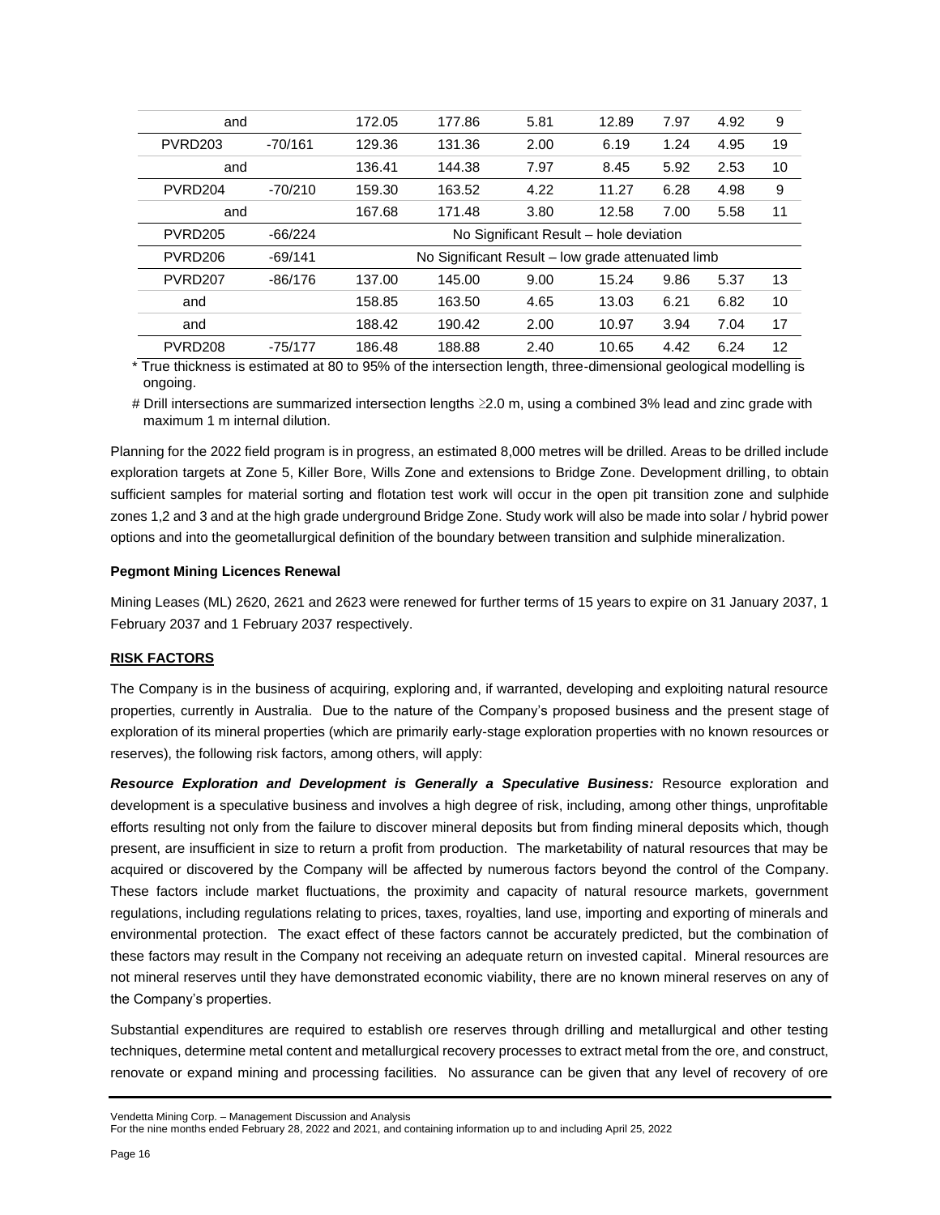| and                 |           | 172.05 | 177.86                                            | 5.81                                   | 12.89 | 7.97 | 4.92 | 9  |
|---------------------|-----------|--------|---------------------------------------------------|----------------------------------------|-------|------|------|----|
| PVRD <sub>203</sub> | $-70/161$ | 129.36 | 131.36                                            | 2.00                                   | 6.19  | 1.24 | 4.95 | 19 |
| and                 |           | 136.41 | 144.38                                            | 7.97                                   | 8.45  | 5.92 | 2.53 | 10 |
| PVRD <sub>204</sub> | $-70/210$ | 159.30 | 163.52                                            | 4.22                                   | 11.27 | 6.28 | 4.98 | 9  |
| and                 |           | 167.68 | 171.48                                            | 3.80                                   | 12.58 | 7.00 | 5.58 | 11 |
| PVRD <sub>205</sub> | $-66/224$ |        |                                                   | No Significant Result - hole deviation |       |      |      |    |
| PVRD <sub>206</sub> | $-69/141$ |        | No Significant Result - low grade attenuated limb |                                        |       |      |      |    |
| PVRD <sub>207</sub> | $-86/176$ | 137.00 | 145.00                                            | 9.00                                   | 15.24 | 9.86 | 5.37 | 13 |
| and                 |           | 158.85 | 163.50                                            | 4.65                                   | 13.03 | 6.21 | 6.82 | 10 |
| and                 |           | 188.42 | 190.42                                            | 2.00                                   | 10.97 | 3.94 | 7.04 | 17 |
| PVRD <sub>208</sub> | -75/177   | 186.48 | 188.88                                            | 2.40                                   | 10.65 | 4.42 | 6.24 | 12 |

\* True thickness is estimated at 80 to 95% of the intersection length, three-dimensional geological modelling is ongoing.

# Drill intersections are summarized intersection lengths ≥2.0 m, using a combined 3% lead and zinc grade with maximum 1 m internal dilution.

Planning for the 2022 field program is in progress, an estimated 8,000 metres will be drilled. Areas to be drilled include exploration targets at Zone 5, Killer Bore, Wills Zone and extensions to Bridge Zone. Development drilling, to obtain sufficient samples for material sorting and flotation test work will occur in the open pit transition zone and sulphide zones 1,2 and 3 and at the high grade underground Bridge Zone. Study work will also be made into solar / hybrid power options and into the geometallurgical definition of the boundary between transition and sulphide mineralization.

### **Pegmont Mining Licences Renewal**

Mining Leases (ML) 2620, 2621 and 2623 were renewed for further terms of 15 years to expire on 31 January 2037, 1 February 2037 and 1 February 2037 respectively.

### **RISK FACTORS**

The Company is in the business of acquiring, exploring and, if warranted, developing and exploiting natural resource properties, currently in Australia. Due to the nature of the Company's proposed business and the present stage of exploration of its mineral properties (which are primarily early-stage exploration properties with no known resources or reserves), the following risk factors, among others, will apply:

Resource Exploration and Development is Generally a Speculative Business: Resource exploration and development is a speculative business and involves a high degree of risk, including, among other things, unprofitable efforts resulting not only from the failure to discover mineral deposits but from finding mineral deposits which, though present, are insufficient in size to return a profit from production. The marketability of natural resources that may be acquired or discovered by the Company will be affected by numerous factors beyond the control of the Company. These factors include market fluctuations, the proximity and capacity of natural resource markets, government regulations, including regulations relating to prices, taxes, royalties, land use, importing and exporting of minerals and environmental protection. The exact effect of these factors cannot be accurately predicted, but the combination of these factors may result in the Company not receiving an adequate return on invested capital. Mineral resources are not mineral reserves until they have demonstrated economic viability, there are no known mineral reserves on any of the Company's properties.

Substantial expenditures are required to establish ore reserves through drilling and metallurgical and other testing techniques, determine metal content and metallurgical recovery processes to extract metal from the ore, and construct, renovate or expand mining and processing facilities. No assurance can be given that any level of recovery of ore

Vendetta Mining Corp. – Management Discussion and Analysis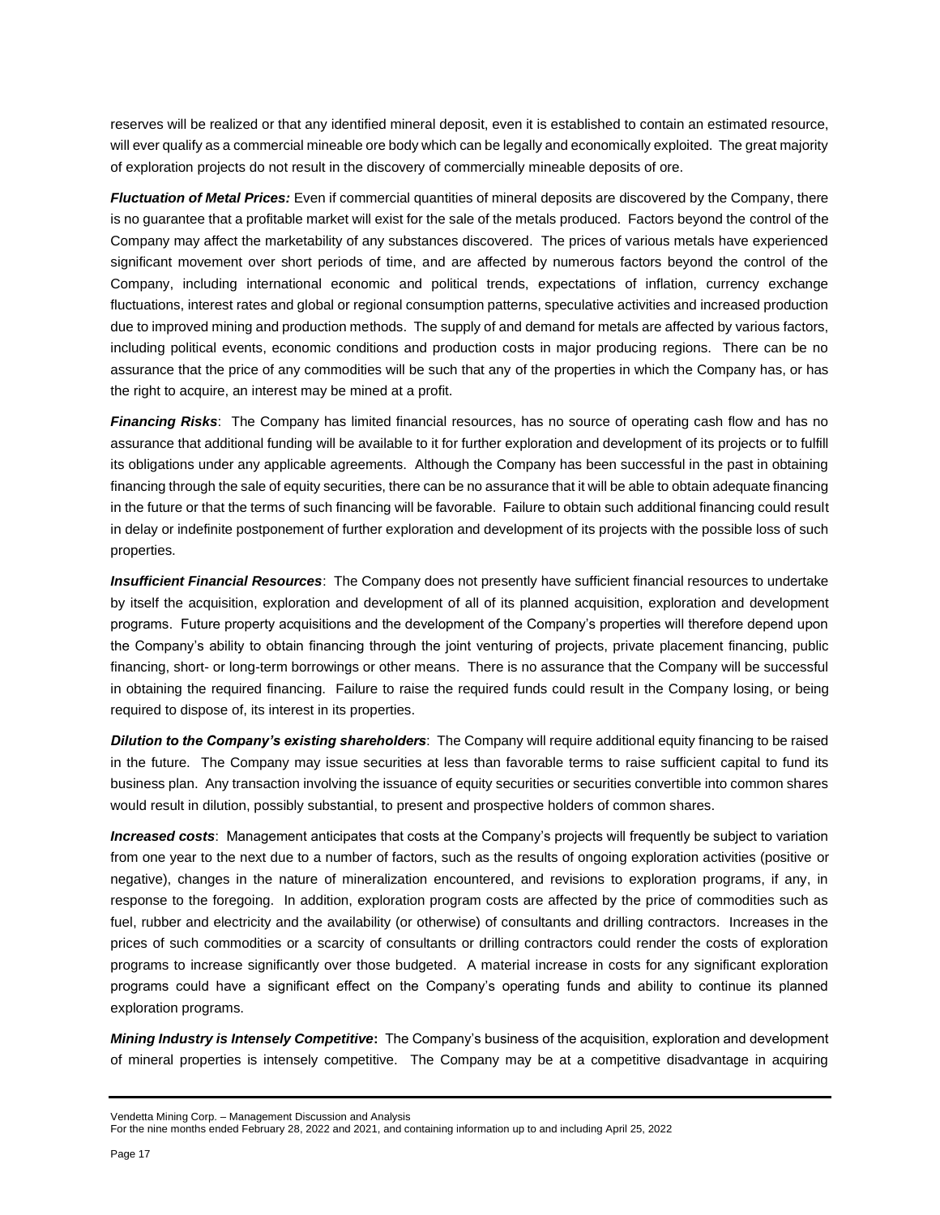reserves will be realized or that any identified mineral deposit, even it is established to contain an estimated resource, will ever qualify as a commercial mineable ore body which can be legally and economically exploited. The great majority of exploration projects do not result in the discovery of commercially mineable deposits of ore.

*Fluctuation of Metal Prices:* Even if commercial quantities of mineral deposits are discovered by the Company, there is no guarantee that a profitable market will exist for the sale of the metals produced. Factors beyond the control of the Company may affect the marketability of any substances discovered. The prices of various metals have experienced significant movement over short periods of time, and are affected by numerous factors beyond the control of the Company, including international economic and political trends, expectations of inflation, currency exchange fluctuations, interest rates and global or regional consumption patterns, speculative activities and increased production due to improved mining and production methods. The supply of and demand for metals are affected by various factors, including political events, economic conditions and production costs in major producing regions. There can be no assurance that the price of any commodities will be such that any of the properties in which the Company has, or has the right to acquire, an interest may be mined at a profit.

*Financing Risks*: The Company has limited financial resources, has no source of operating cash flow and has no assurance that additional funding will be available to it for further exploration and development of its projects or to fulfill its obligations under any applicable agreements. Although the Company has been successful in the past in obtaining financing through the sale of equity securities, there can be no assurance that it will be able to obtain adequate financing in the future or that the terms of such financing will be favorable. Failure to obtain such additional financing could result in delay or indefinite postponement of further exploration and development of its projects with the possible loss of such properties.

*Insufficient Financial Resources*: The Company does not presently have sufficient financial resources to undertake by itself the acquisition, exploration and development of all of its planned acquisition, exploration and development programs. Future property acquisitions and the development of the Company's properties will therefore depend upon the Company's ability to obtain financing through the joint venturing of projects, private placement financing, public financing, short- or long-term borrowings or other means. There is no assurance that the Company will be successful in obtaining the required financing. Failure to raise the required funds could result in the Company losing, or being required to dispose of, its interest in its properties.

*Dilution to the Company's existing shareholders*: The Company will require additional equity financing to be raised in the future. The Company may issue securities at less than favorable terms to raise sufficient capital to fund its business plan. Any transaction involving the issuance of equity securities or securities convertible into common shares would result in dilution, possibly substantial, to present and prospective holders of common shares.

*Increased costs*: Management anticipates that costs at the Company's projects will frequently be subject to variation from one year to the next due to a number of factors, such as the results of ongoing exploration activities (positive or negative), changes in the nature of mineralization encountered, and revisions to exploration programs, if any, in response to the foregoing. In addition, exploration program costs are affected by the price of commodities such as fuel, rubber and electricity and the availability (or otherwise) of consultants and drilling contractors. Increases in the prices of such commodities or a scarcity of consultants or drilling contractors could render the costs of exploration programs to increase significantly over those budgeted. A material increase in costs for any significant exploration programs could have a significant effect on the Company's operating funds and ability to continue its planned exploration programs.

*Mining Industry is Intensely Competitive***:** The Company's business of the acquisition, exploration and development of mineral properties is intensely competitive. The Company may be at a competitive disadvantage in acquiring

Vendetta Mining Corp. – Management Discussion and Analysis

For the nine months ended February 28, 2022 and 2021, and containing information up to and including April 25, 2022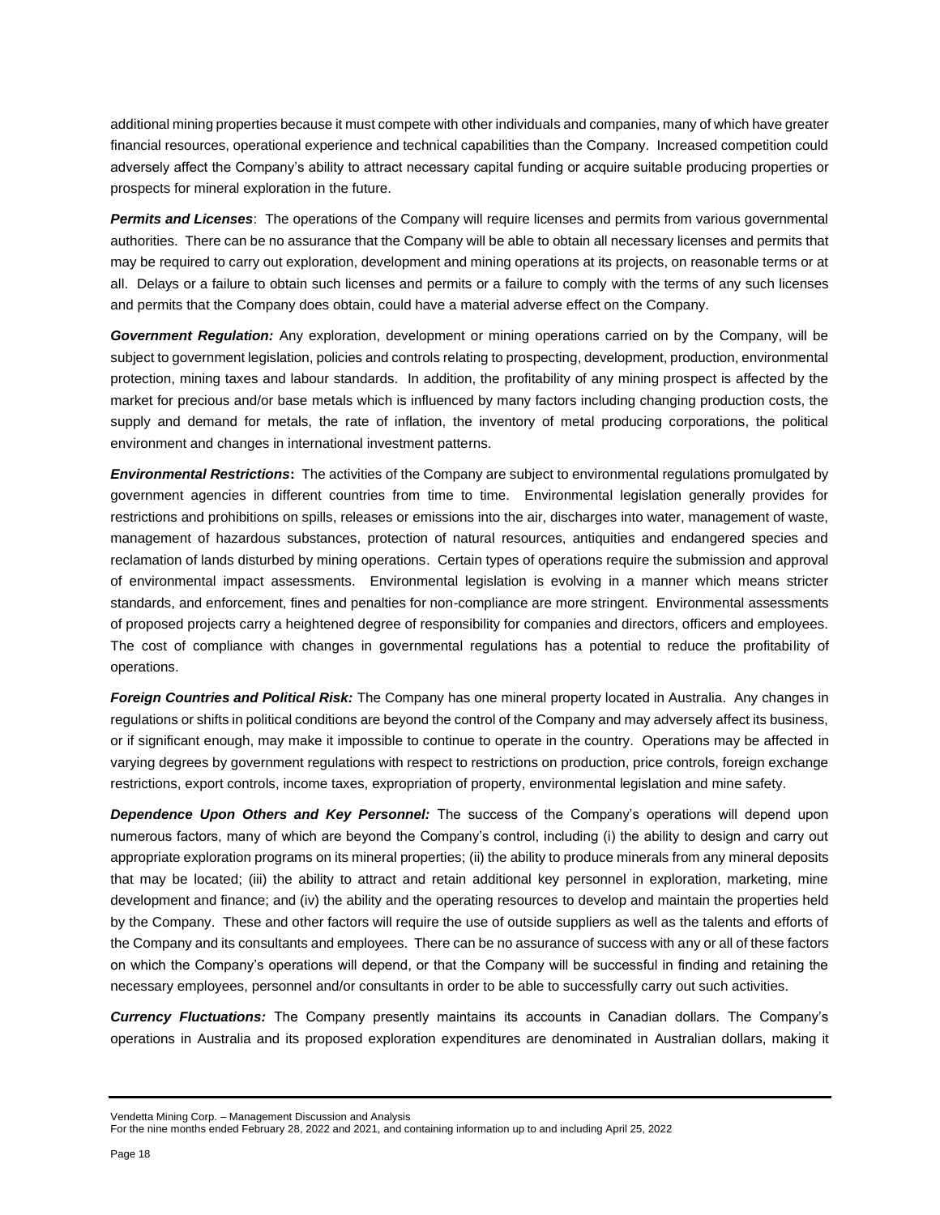additional mining properties because it must compete with other individuals and companies, many of which have greater financial resources, operational experience and technical capabilities than the Company. Increased competition could adversely affect the Company's ability to attract necessary capital funding or acquire suitable producing properties or prospects for mineral exploration in the future.

*Permits and Licenses*: The operations of the Company will require licenses and permits from various governmental authorities. There can be no assurance that the Company will be able to obtain all necessary licenses and permits that may be required to carry out exploration, development and mining operations at its projects, on reasonable terms or at all. Delays or a failure to obtain such licenses and permits or a failure to comply with the terms of any such licenses and permits that the Company does obtain, could have a material adverse effect on the Company.

*Government Regulation:* Any exploration, development or mining operations carried on by the Company, will be subject to government legislation, policies and controls relating to prospecting, development, production, environmental protection, mining taxes and labour standards. In addition, the profitability of any mining prospect is affected by the market for precious and/or base metals which is influenced by many factors including changing production costs, the supply and demand for metals, the rate of inflation, the inventory of metal producing corporations, the political environment and changes in international investment patterns.

*Environmental Restrictions***:** The activities of the Company are subject to environmental regulations promulgated by government agencies in different countries from time to time. Environmental legislation generally provides for restrictions and prohibitions on spills, releases or emissions into the air, discharges into water, management of waste, management of hazardous substances, protection of natural resources, antiquities and endangered species and reclamation of lands disturbed by mining operations. Certain types of operations require the submission and approval of environmental impact assessments. Environmental legislation is evolving in a manner which means stricter standards, and enforcement, fines and penalties for non-compliance are more stringent. Environmental assessments of proposed projects carry a heightened degree of responsibility for companies and directors, officers and employees. The cost of compliance with changes in governmental regulations has a potential to reduce the profitability of operations.

*Foreign Countries and Political Risk:* The Company has one mineral property located in Australia. Any changes in regulations or shifts in political conditions are beyond the control of the Company and may adversely affect its business, or if significant enough, may make it impossible to continue to operate in the country. Operations may be affected in varying degrees by government regulations with respect to restrictions on production, price controls, foreign exchange restrictions, export controls, income taxes, expropriation of property, environmental legislation and mine safety.

*Dependence Upon Others and Key Personnel:* The success of the Company's operations will depend upon numerous factors, many of which are beyond the Company's control, including (i) the ability to design and carry out appropriate exploration programs on its mineral properties; (ii) the ability to produce minerals from any mineral deposits that may be located; (iii) the ability to attract and retain additional key personnel in exploration, marketing, mine development and finance; and (iv) the ability and the operating resources to develop and maintain the properties held by the Company. These and other factors will require the use of outside suppliers as well as the talents and efforts of the Company and its consultants and employees. There can be no assurance of success with any or all of these factors on which the Company's operations will depend, or that the Company will be successful in finding and retaining the necessary employees, personnel and/or consultants in order to be able to successfully carry out such activities.

*Currency Fluctuations:* The Company presently maintains its accounts in Canadian dollars. The Company's operations in Australia and its proposed exploration expenditures are denominated in Australian dollars, making it

Vendetta Mining Corp. – Management Discussion and Analysis

For the nine months ended February 28, 2022 and 2021, and containing information up to and including April 25, 2022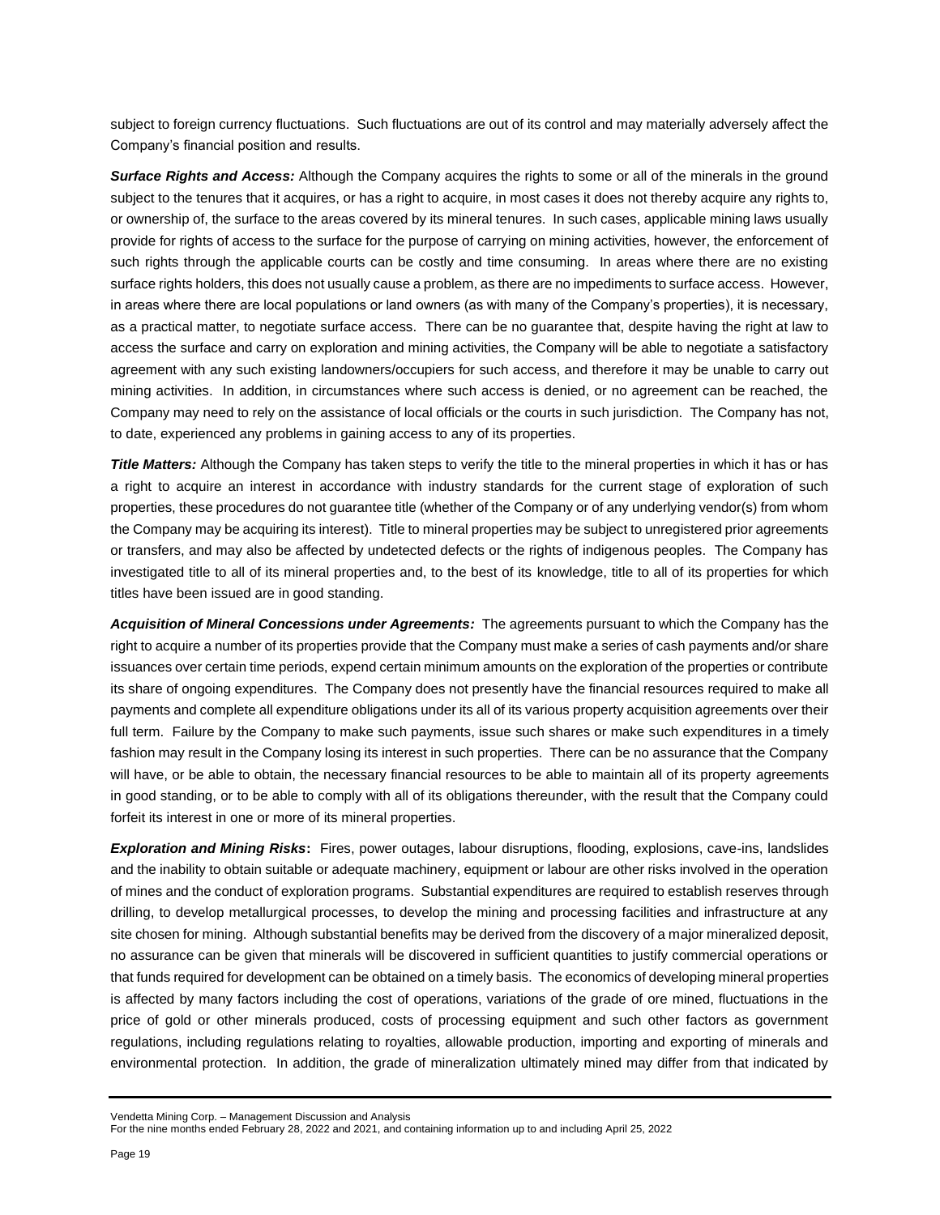subject to foreign currency fluctuations. Such fluctuations are out of its control and may materially adversely affect the Company's financial position and results.

*Surface Rights and Access:* Although the Company acquires the rights to some or all of the minerals in the ground subject to the tenures that it acquires, or has a right to acquire, in most cases it does not thereby acquire any rights to, or ownership of, the surface to the areas covered by its mineral tenures. In such cases, applicable mining laws usually provide for rights of access to the surface for the purpose of carrying on mining activities, however, the enforcement of such rights through the applicable courts can be costly and time consuming. In areas where there are no existing surface rights holders, this does not usually cause a problem, as there are no impediments to surface access. However, in areas where there are local populations or land owners (as with many of the Company's properties), it is necessary, as a practical matter, to negotiate surface access. There can be no guarantee that, despite having the right at law to access the surface and carry on exploration and mining activities, the Company will be able to negotiate a satisfactory agreement with any such existing landowners/occupiers for such access, and therefore it may be unable to carry out mining activities. In addition, in circumstances where such access is denied, or no agreement can be reached, the Company may need to rely on the assistance of local officials or the courts in such jurisdiction. The Company has not, to date, experienced any problems in gaining access to any of its properties.

*Title Matters:* Although the Company has taken steps to verify the title to the mineral properties in which it has or has a right to acquire an interest in accordance with industry standards for the current stage of exploration of such properties, these procedures do not guarantee title (whether of the Company or of any underlying vendor(s) from whom the Company may be acquiring its interest). Title to mineral properties may be subject to unregistered prior agreements or transfers, and may also be affected by undetected defects or the rights of indigenous peoples. The Company has investigated title to all of its mineral properties and, to the best of its knowledge, title to all of its properties for which titles have been issued are in good standing.

*Acquisition of Mineral Concessions under Agreements:* The agreements pursuant to which the Company has the right to acquire a number of its properties provide that the Company must make a series of cash payments and/or share issuances over certain time periods, expend certain minimum amounts on the exploration of the properties or contribute its share of ongoing expenditures. The Company does not presently have the financial resources required to make all payments and complete all expenditure obligations under its all of its various property acquisition agreements over their full term. Failure by the Company to make such payments, issue such shares or make such expenditures in a timely fashion may result in the Company losing its interest in such properties. There can be no assurance that the Company will have, or be able to obtain, the necessary financial resources to be able to maintain all of its property agreements in good standing, or to be able to comply with all of its obligations thereunder, with the result that the Company could forfeit its interest in one or more of its mineral properties.

*Exploration and Mining Risks***:** Fires, power outages, labour disruptions, flooding, explosions, cave-ins, landslides and the inability to obtain suitable or adequate machinery, equipment or labour are other risks involved in the operation of mines and the conduct of exploration programs. Substantial expenditures are required to establish reserves through drilling, to develop metallurgical processes, to develop the mining and processing facilities and infrastructure at any site chosen for mining. Although substantial benefits may be derived from the discovery of a major mineralized deposit, no assurance can be given that minerals will be discovered in sufficient quantities to justify commercial operations or that funds required for development can be obtained on a timely basis. The economics of developing mineral properties is affected by many factors including the cost of operations, variations of the grade of ore mined, fluctuations in the price of gold or other minerals produced, costs of processing equipment and such other factors as government regulations, including regulations relating to royalties, allowable production, importing and exporting of minerals and environmental protection. In addition, the grade of mineralization ultimately mined may differ from that indicated by

Vendetta Mining Corp. – Management Discussion and Analysis

For the nine months ended February 28, 2022 and 2021, and containing information up to and including April 25, 2022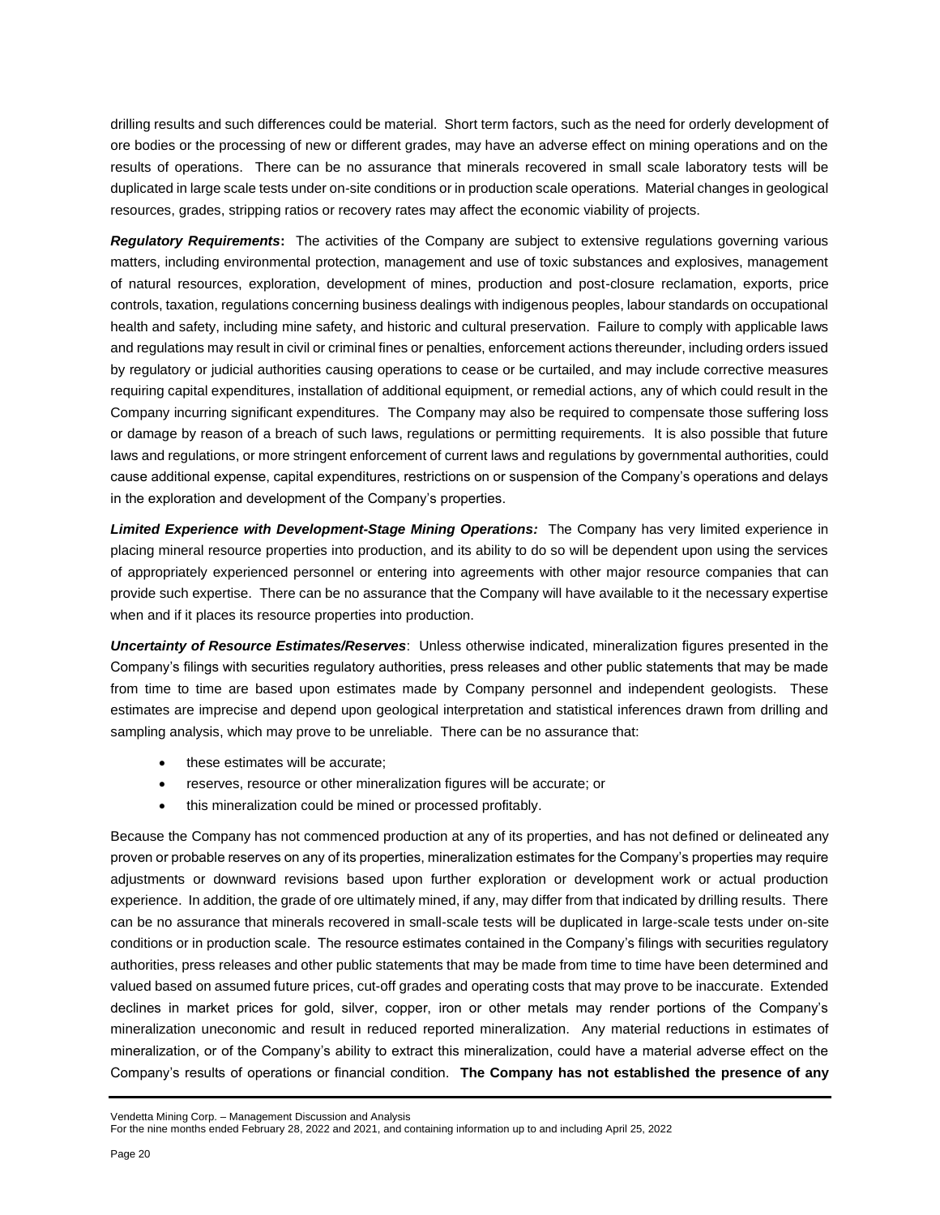drilling results and such differences could be material. Short term factors, such as the need for orderly development of ore bodies or the processing of new or different grades, may have an adverse effect on mining operations and on the results of operations. There can be no assurance that minerals recovered in small scale laboratory tests will be duplicated in large scale tests under on-site conditions or in production scale operations. Material changes in geological resources, grades, stripping ratios or recovery rates may affect the economic viability of projects.

*Regulatory Requirements***:** The activities of the Company are subject to extensive regulations governing various matters, including environmental protection, management and use of toxic substances and explosives, management of natural resources, exploration, development of mines, production and post-closure reclamation, exports, price controls, taxation, regulations concerning business dealings with indigenous peoples, labour standards on occupational health and safety, including mine safety, and historic and cultural preservation. Failure to comply with applicable laws and regulations may result in civil or criminal fines or penalties, enforcement actions thereunder, including orders issued by regulatory or judicial authorities causing operations to cease or be curtailed, and may include corrective measures requiring capital expenditures, installation of additional equipment, or remedial actions, any of which could result in the Company incurring significant expenditures. The Company may also be required to compensate those suffering loss or damage by reason of a breach of such laws, regulations or permitting requirements. It is also possible that future laws and regulations, or more stringent enforcement of current laws and regulations by governmental authorities, could cause additional expense, capital expenditures, restrictions on or suspension of the Company's operations and delays in the exploration and development of the Company's properties.

*Limited Experience with Development-Stage Mining Operations:* The Company has very limited experience in placing mineral resource properties into production, and its ability to do so will be dependent upon using the services of appropriately experienced personnel or entering into agreements with other major resource companies that can provide such expertise. There can be no assurance that the Company will have available to it the necessary expertise when and if it places its resource properties into production.

*Uncertainty of Resource Estimates/Reserves*: Unless otherwise indicated, mineralization figures presented in the Company's filings with securities regulatory authorities, press releases and other public statements that may be made from time to time are based upon estimates made by Company personnel and independent geologists. These estimates are imprecise and depend upon geological interpretation and statistical inferences drawn from drilling and sampling analysis, which may prove to be unreliable. There can be no assurance that:

- these estimates will be accurate;
- reserves, resource or other mineralization figures will be accurate; or
- this mineralization could be mined or processed profitably.

Because the Company has not commenced production at any of its properties, and has not defined or delineated any proven or probable reserves on any of its properties, mineralization estimates for the Company's properties may require adjustments or downward revisions based upon further exploration or development work or actual production experience. In addition, the grade of ore ultimately mined, if any, may differ from that indicated by drilling results. There can be no assurance that minerals recovered in small-scale tests will be duplicated in large-scale tests under on-site conditions or in production scale. The resource estimates contained in the Company's filings with securities regulatory authorities, press releases and other public statements that may be made from time to time have been determined and valued based on assumed future prices, cut-off grades and operating costs that may prove to be inaccurate. Extended declines in market prices for gold, silver, copper, iron or other metals may render portions of the Company's mineralization uneconomic and result in reduced reported mineralization. Any material reductions in estimates of mineralization, or of the Company's ability to extract this mineralization, could have a material adverse effect on the Company's results of operations or financial condition. **The Company has not established the presence of any** 

Vendetta Mining Corp. – Management Discussion and Analysis

For the nine months ended February 28, 2022 and 2021, and containing information up to and including April 25, 2022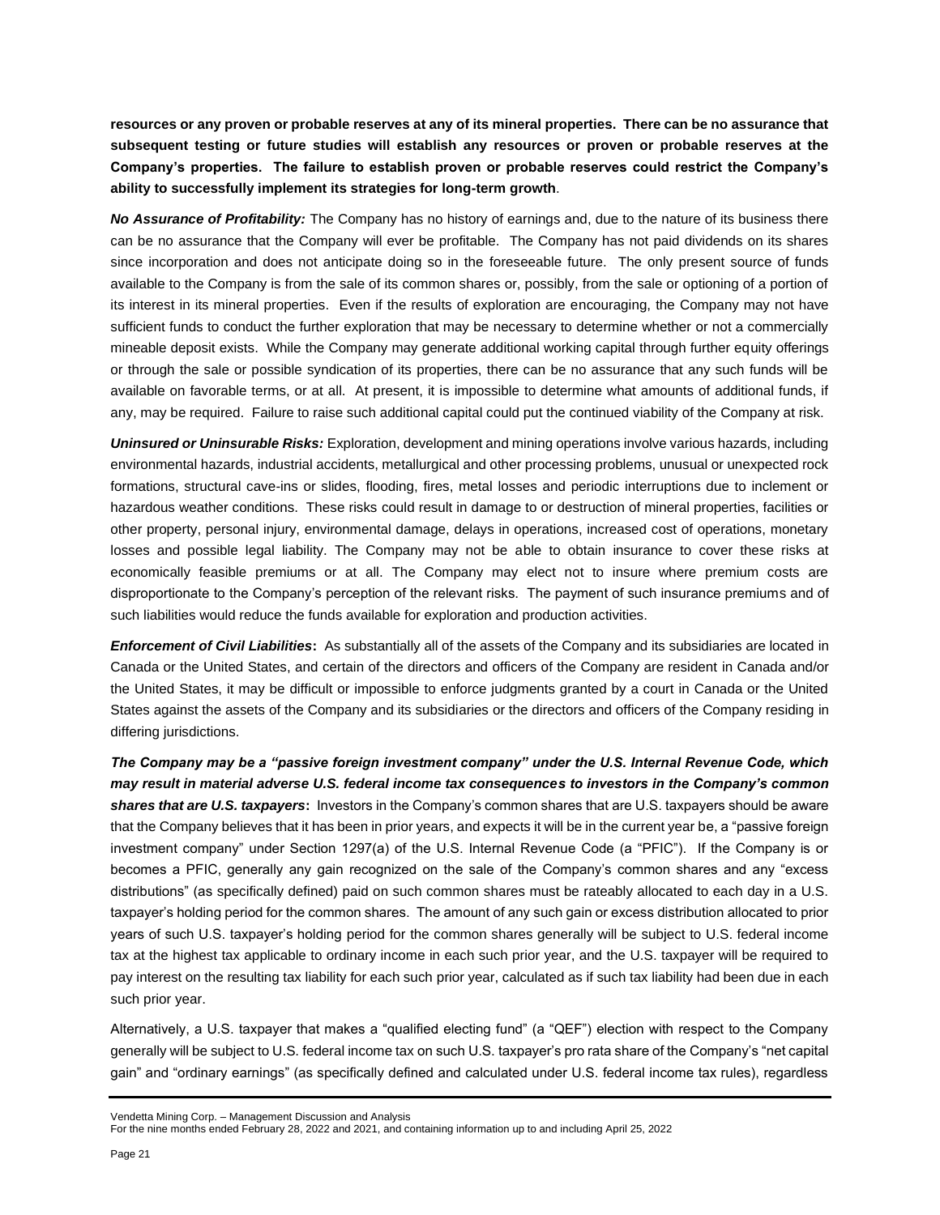**resources or any proven or probable reserves at any of its mineral properties. There can be no assurance that subsequent testing or future studies will establish any resources or proven or probable reserves at the Company's properties. The failure to establish proven or probable reserves could restrict the Company's ability to successfully implement its strategies for long-term growth**.

*No Assurance of Profitability:* The Company has no history of earnings and, due to the nature of its business there can be no assurance that the Company will ever be profitable. The Company has not paid dividends on its shares since incorporation and does not anticipate doing so in the foreseeable future. The only present source of funds available to the Company is from the sale of its common shares or, possibly, from the sale or optioning of a portion of its interest in its mineral properties. Even if the results of exploration are encouraging, the Company may not have sufficient funds to conduct the further exploration that may be necessary to determine whether or not a commercially mineable deposit exists. While the Company may generate additional working capital through further equity offerings or through the sale or possible syndication of its properties, there can be no assurance that any such funds will be available on favorable terms, or at all. At present, it is impossible to determine what amounts of additional funds, if any, may be required. Failure to raise such additional capital could put the continued viability of the Company at risk.

*Uninsured or Uninsurable Risks:* Exploration, development and mining operations involve various hazards, including environmental hazards, industrial accidents, metallurgical and other processing problems, unusual or unexpected rock formations, structural cave-ins or slides, flooding, fires, metal losses and periodic interruptions due to inclement or hazardous weather conditions. These risks could result in damage to or destruction of mineral properties, facilities or other property, personal injury, environmental damage, delays in operations, increased cost of operations, monetary losses and possible legal liability. The Company may not be able to obtain insurance to cover these risks at economically feasible premiums or at all. The Company may elect not to insure where premium costs are disproportionate to the Company's perception of the relevant risks. The payment of such insurance premiums and of such liabilities would reduce the funds available for exploration and production activities.

*Enforcement of Civil Liabilities***:** As substantially all of the assets of the Company and its subsidiaries are located in Canada or the United States, and certain of the directors and officers of the Company are resident in Canada and/or the United States, it may be difficult or impossible to enforce judgments granted by a court in Canada or the United States against the assets of the Company and its subsidiaries or the directors and officers of the Company residing in differing jurisdictions.

*The Company may be a "passive foreign investment company" under the U.S. Internal Revenue Code, which may result in material adverse U.S. federal income tax consequences to investors in the Company's common shares that are U.S. taxpayers***:** Investors in the Company's common shares that are U.S. taxpayers should be aware that the Company believes that it has been in prior years, and expects it will be in the current year be, a "passive foreign investment company" under Section 1297(a) of the U.S. Internal Revenue Code (a "PFIC"). If the Company is or becomes a PFIC, generally any gain recognized on the sale of the Company's common shares and any "excess distributions" (as specifically defined) paid on such common shares must be rateably allocated to each day in a U.S. taxpayer's holding period for the common shares. The amount of any such gain or excess distribution allocated to prior years of such U.S. taxpayer's holding period for the common shares generally will be subject to U.S. federal income tax at the highest tax applicable to ordinary income in each such prior year, and the U.S. taxpayer will be required to pay interest on the resulting tax liability for each such prior year, calculated as if such tax liability had been due in each such prior year.

Alternatively, a U.S. taxpayer that makes a "qualified electing fund" (a "QEF") election with respect to the Company generally will be subject to U.S. federal income tax on such U.S. taxpayer's pro rata share of the Company's "net capital gain" and "ordinary earnings" (as specifically defined and calculated under U.S. federal income tax rules), regardless

Vendetta Mining Corp. – Management Discussion and Analysis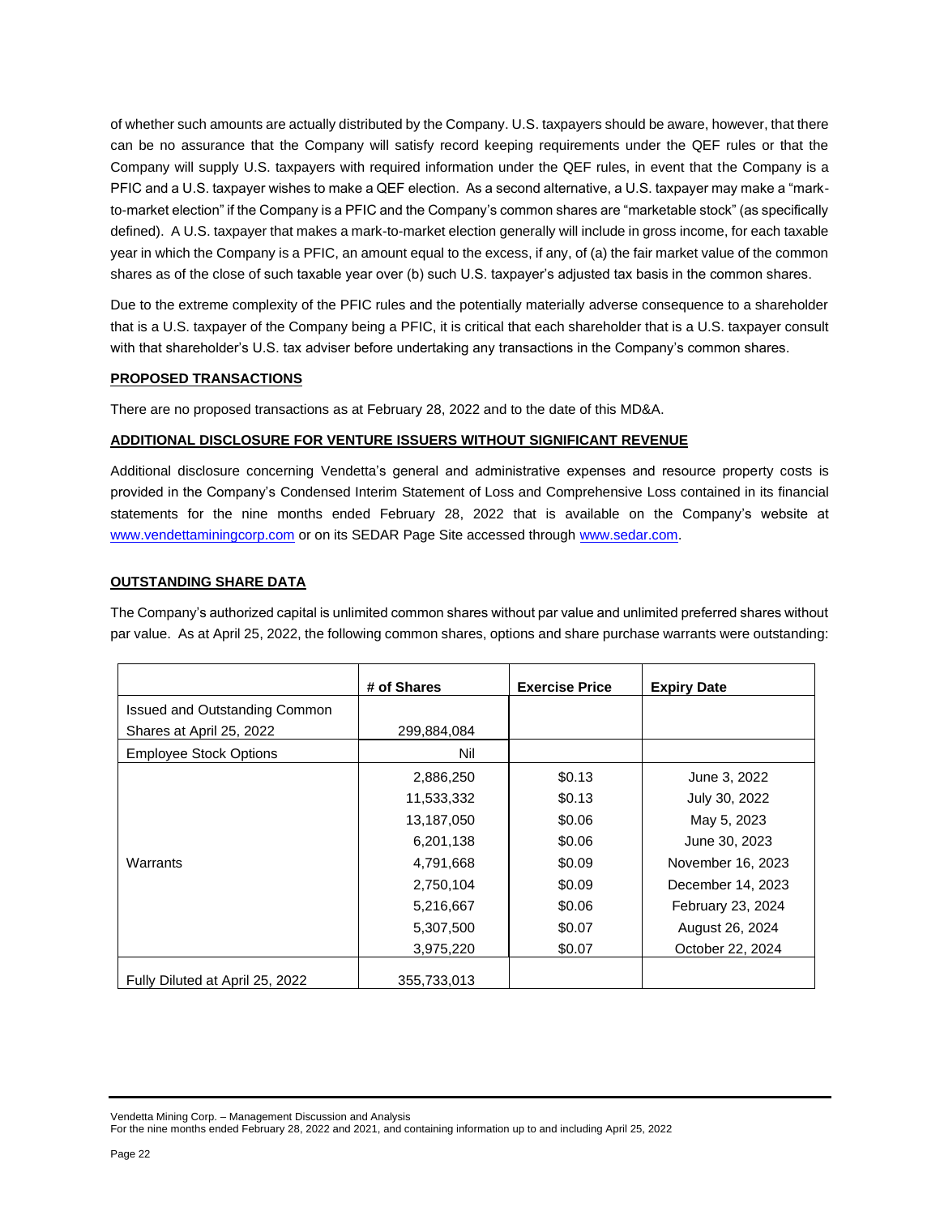of whether such amounts are actually distributed by the Company. U.S. taxpayers should be aware, however, that there can be no assurance that the Company will satisfy record keeping requirements under the QEF rules or that the Company will supply U.S. taxpayers with required information under the QEF rules, in event that the Company is a PFIC and a U.S. taxpayer wishes to make a QEF election. As a second alternative, a U.S. taxpayer may make a "markto-market election" if the Company is a PFIC and the Company's common shares are "marketable stock" (as specifically defined). A U.S. taxpayer that makes a mark-to-market election generally will include in gross income, for each taxable year in which the Company is a PFIC, an amount equal to the excess, if any, of (a) the fair market value of the common shares as of the close of such taxable year over (b) such U.S. taxpayer's adjusted tax basis in the common shares.

Due to the extreme complexity of the PFIC rules and the potentially materially adverse consequence to a shareholder that is a U.S. taxpayer of the Company being a PFIC, it is critical that each shareholder that is a U.S. taxpayer consult with that shareholder's U.S. tax adviser before undertaking any transactions in the Company's common shares.

### **PROPOSED TRANSACTIONS**

There are no proposed transactions as at February 28, 2022 and to the date of this MD&A.

## **ADDITIONAL DISCLOSURE FOR VENTURE ISSUERS WITHOUT SIGNIFICANT REVENUE**

Additional disclosure concerning Vendetta's general and administrative expenses and resource property costs is provided in the Company's Condensed Interim Statement of Loss and Comprehensive Loss contained in its financial statements for the nine months ended February 28, 2022 that is available on the Company's website at [www.vendettaminingcorp.com](http://www.vendettaminingcorp.com/) or on its SEDAR Page Site accessed throug[h www.sedar.com.](http://www.sedar.com/)

## **OUTSTANDING SHARE DATA**

The Company's authorized capital is unlimited common shares without par value and unlimited preferred shares without par value. As at April 25, 2022, the following common shares, options and share purchase warrants were outstanding:

|                                 | # of Shares | <b>Exercise Price</b> | <b>Expiry Date</b> |
|---------------------------------|-------------|-----------------------|--------------------|
| Issued and Outstanding Common   |             |                       |                    |
| Shares at April 25, 2022        | 299,884,084 |                       |                    |
| <b>Employee Stock Options</b>   | Nil         |                       |                    |
|                                 | 2,886,250   | \$0.13                | June 3, 2022       |
|                                 | 11,533,332  | \$0.13                | July 30, 2022      |
|                                 | 13,187,050  | \$0.06                | May 5, 2023        |
|                                 | 6,201,138   | \$0.06                | June 30, 2023      |
| Warrants                        | 4,791,668   | \$0.09                | November 16, 2023  |
|                                 | 2,750,104   | \$0.09                | December 14, 2023  |
|                                 | 5,216,667   | \$0.06                | February 23, 2024  |
|                                 | 5,307,500   | \$0.07                | August 26, 2024    |
|                                 | 3,975,220   | \$0.07                | October 22, 2024   |
| Fully Diluted at April 25, 2022 | 355,733,013 |                       |                    |

Vendetta Mining Corp. – Management Discussion and Analysis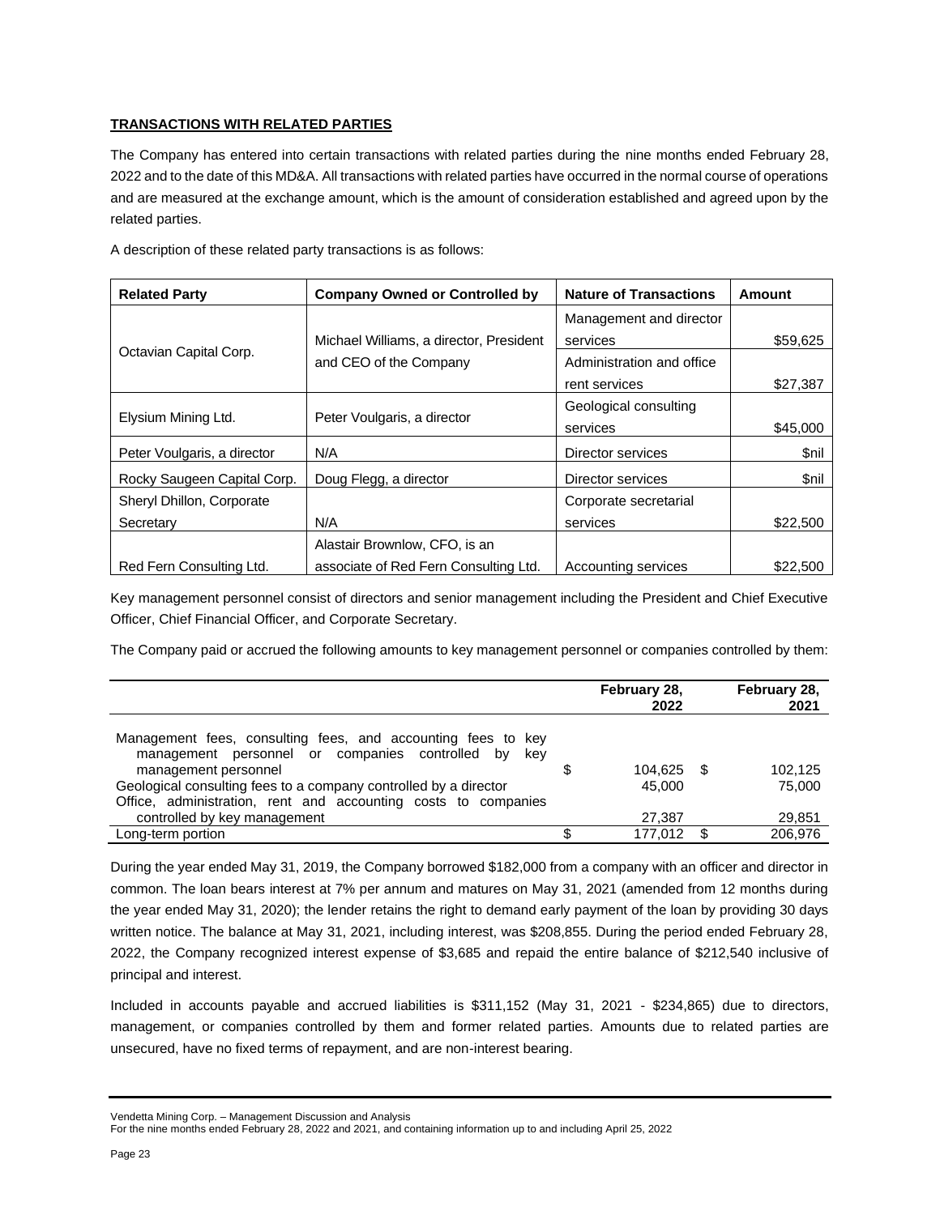## **TRANSACTIONS WITH RELATED PARTIES**

The Company has entered into certain transactions with related parties during the nine months ended February 28, 2022 and to the date of this MD&A. All transactions with related parties have occurred in the normal course of operations and are measured at the exchange amount, which is the amount of consideration established and agreed upon by the related parties.

|  |  |  | A description of these related party transactions is as follows: |  |  |
|--|--|--|------------------------------------------------------------------|--|--|
|  |  |  |                                                                  |  |  |

| <b>Related Party</b>        | <b>Company Owned or Controlled by</b>   | <b>Nature of Transactions</b> | Amount   |  |
|-----------------------------|-----------------------------------------|-------------------------------|----------|--|
|                             |                                         | Management and director       |          |  |
| Octavian Capital Corp.      | Michael Williams, a director, President | services                      | \$59,625 |  |
|                             | and CEO of the Company                  | Administration and office     |          |  |
|                             |                                         | rent services                 | \$27.387 |  |
|                             |                                         | Geological consulting         |          |  |
| Elysium Mining Ltd.         | Peter Voulgaris, a director             | services                      | \$45,000 |  |
| Peter Voulgaris, a director | N/A                                     | Director services             | \$nil    |  |
| Rocky Saugeen Capital Corp. | Doug Flegg, a director                  | Director services             | \$nil    |  |
| Sheryl Dhillon, Corporate   |                                         | Corporate secretarial         |          |  |
| Secretary                   | N/A                                     | services                      | \$22,500 |  |
|                             | Alastair Brownlow, CFO, is an           |                               |          |  |
| Red Fern Consulting Ltd.    | associate of Red Fern Consulting Ltd.   | Accounting services           | \$22,500 |  |

Key management personnel consist of directors and senior management including the President and Chief Executive Officer, Chief Financial Officer, and Corporate Secretary.

The Company paid or accrued the following amounts to key management personnel or companies controlled by them:

|                                                                                                                        | February 28,<br>2022 |      | February 28,<br>2021 |
|------------------------------------------------------------------------------------------------------------------------|----------------------|------|----------------------|
| Management fees, consulting fees, and accounting fees to key<br>management personnel or companies controlled by<br>kev |                      |      |                      |
| management personnel                                                                                                   | 104.625 \$           |      | 102.125              |
| Geological consulting fees to a company controlled by a director                                                       | 45.000               |      | 75,000               |
| Office, administration, rent and accounting costs to companies                                                         |                      |      |                      |
| controlled by key management                                                                                           | 27,387               |      | 29,851               |
| Long-term portion                                                                                                      | 177.012              | - \$ | 206.976              |

During the year ended May 31, 2019, the Company borrowed \$182,000 from a company with an officer and director in common. The loan bears interest at 7% per annum and matures on May 31, 2021 (amended from 12 months during the year ended May 31, 2020); the lender retains the right to demand early payment of the loan by providing 30 days written notice. The balance at May 31, 2021, including interest, was \$208,855. During the period ended February 28, 2022, the Company recognized interest expense of \$3,685 and repaid the entire balance of \$212,540 inclusive of principal and interest.

Included in accounts payable and accrued liabilities is \$311,152 (May 31, 2021 - \$234,865) due to directors, management, or companies controlled by them and former related parties. Amounts due to related parties are unsecured, have no fixed terms of repayment, and are non-interest bearing.

Vendetta Mining Corp. – Management Discussion and Analysis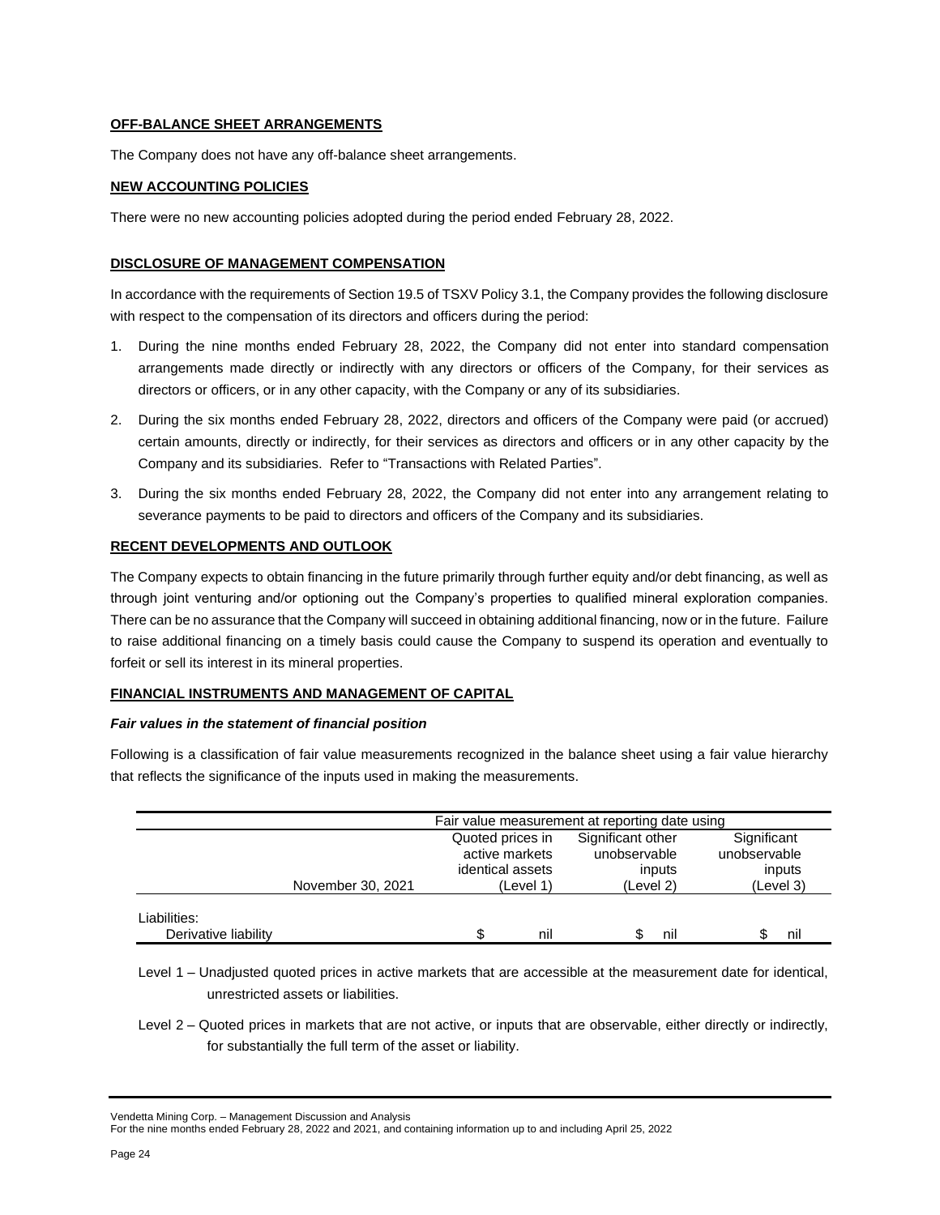### **OFF-BALANCE SHEET ARRANGEMENTS**

The Company does not have any off-balance sheet arrangements.

## **NEW ACCOUNTING POLICIES**

There were no new accounting policies adopted during the period ended February 28, 2022.

### **DISCLOSURE OF MANAGEMENT COMPENSATION**

In accordance with the requirements of Section 19.5 of TSXV Policy 3.1, the Company provides the following disclosure with respect to the compensation of its directors and officers during the period:

- 1. During the nine months ended February 28, 2022, the Company did not enter into standard compensation arrangements made directly or indirectly with any directors or officers of the Company, for their services as directors or officers, or in any other capacity, with the Company or any of its subsidiaries.
- 2. During the six months ended February 28, 2022, directors and officers of the Company were paid (or accrued) certain amounts, directly or indirectly, for their services as directors and officers or in any other capacity by the Company and its subsidiaries. Refer to "Transactions with Related Parties".
- 3. During the six months ended February 28, 2022, the Company did not enter into any arrangement relating to severance payments to be paid to directors and officers of the Company and its subsidiaries.

### **RECENT DEVELOPMENTS AND OUTLOOK**

The Company expects to obtain financing in the future primarily through further equity and/or debt financing, as well as through joint venturing and/or optioning out the Company's properties to qualified mineral exploration companies. There can be no assurance that the Company will succeed in obtaining additional financing, now or in the future. Failure to raise additional financing on a timely basis could cause the Company to suspend its operation and eventually to forfeit or sell its interest in its mineral properties.

### **FINANCIAL INSTRUMENTS AND MANAGEMENT OF CAPITAL**

### *Fair values in the statement of financial position*

Following is a classification of fair value measurements recognized in the balance sheet using a fair value hierarchy that reflects the significance of the inputs used in making the measurements.

|                                      |                   | Fair value measurement at reporting date using         |     |                                             |     |                                       |     |  |
|--------------------------------------|-------------------|--------------------------------------------------------|-----|---------------------------------------------|-----|---------------------------------------|-----|--|
|                                      |                   | Quoted prices in<br>active markets<br>identical assets |     | Significant other<br>unobservable<br>inputs |     | Significant<br>unobservable<br>inputs |     |  |
|                                      | November 30, 2021 | (Level 1)                                              |     | (Level 2)                                   |     | (Level 3)                             |     |  |
| Liabilities:<br>Derivative liability |                   | ደ                                                      | nil |                                             | nil |                                       | nil |  |

Level 1 – Unadjusted quoted prices in active markets that are accessible at the measurement date for identical, unrestricted assets or liabilities.

Level 2 – Quoted prices in markets that are not active, or inputs that are observable, either directly or indirectly, for substantially the full term of the asset or liability.

Vendetta Mining Corp. – Management Discussion and Analysis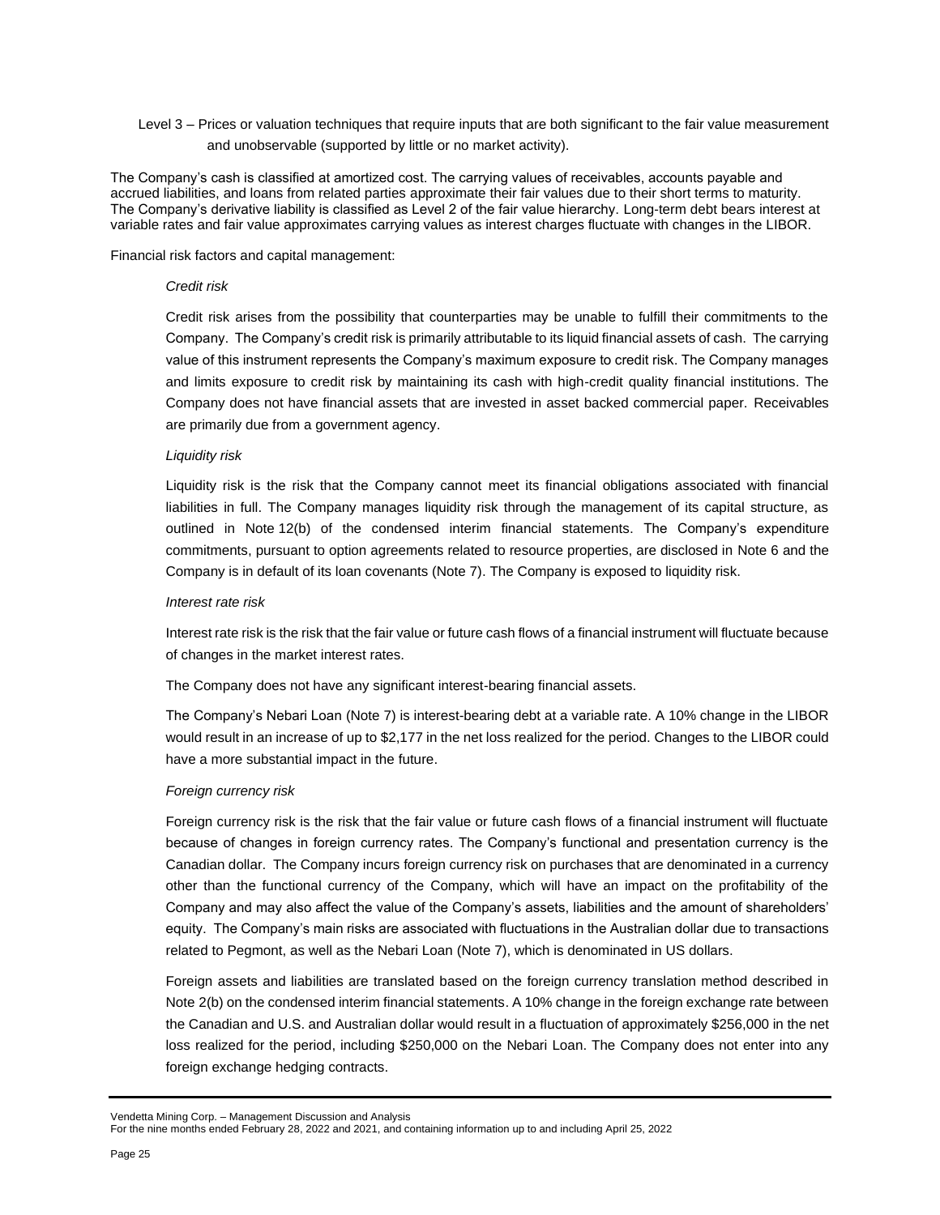Level 3 – Prices or valuation techniques that require inputs that are both significant to the fair value measurement and unobservable (supported by little or no market activity).

The Company's cash is classified at amortized cost. The carrying values of receivables, accounts payable and accrued liabilities, and loans from related parties approximate their fair values due to their short terms to maturity. The Company's derivative liability is classified as Level 2 of the fair value hierarchy. Long-term debt bears interest at variable rates and fair value approximates carrying values as interest charges fluctuate with changes in the LIBOR.

Financial risk factors and capital management:

#### *Credit risk*

Credit risk arises from the possibility that counterparties may be unable to fulfill their commitments to the Company. The Company's credit risk is primarily attributable to its liquid financial assets of cash. The carrying value of this instrument represents the Company's maximum exposure to credit risk. The Company manages and limits exposure to credit risk by maintaining its cash with high-credit quality financial institutions. The Company does not have financial assets that are invested in asset backed commercial paper. Receivables are primarily due from a government agency.

#### *Liquidity risk*

Liquidity risk is the risk that the Company cannot meet its financial obligations associated with financial liabilities in full. The Company manages liquidity risk through the management of its capital structure, as outlined in Note 12(b) of the condensed interim financial statements. The Company's expenditure commitments, pursuant to option agreements related to resource properties, are disclosed in Note 6 and the Company is in default of its loan covenants (Note 7). The Company is exposed to liquidity risk.

#### *Interest rate risk*

Interest rate risk is the risk that the fair value or future cash flows of a financial instrument will fluctuate because of changes in the market interest rates.

The Company does not have any significant interest-bearing financial assets.

The Company's Nebari Loan (Note 7) is interest-bearing debt at a variable rate. A 10% change in the LIBOR would result in an increase of up to \$2,177 in the net loss realized for the period. Changes to the LIBOR could have a more substantial impact in the future.

#### *Foreign currency risk*

Foreign currency risk is the risk that the fair value or future cash flows of a financial instrument will fluctuate because of changes in foreign currency rates. The Company's functional and presentation currency is the Canadian dollar. The Company incurs foreign currency risk on purchases that are denominated in a currency other than the functional currency of the Company, which will have an impact on the profitability of the Company and may also affect the value of the Company's assets, liabilities and the amount of shareholders' equity. The Company's main risks are associated with fluctuations in the Australian dollar due to transactions related to Pegmont, as well as the Nebari Loan (Note 7), which is denominated in US dollars.

Foreign assets and liabilities are translated based on the foreign currency translation method described in Note 2(b) on the condensed interim financial statements. A 10% change in the foreign exchange rate between the Canadian and U.S. and Australian dollar would result in a fluctuation of approximately \$256,000 in the net loss realized for the period, including \$250,000 on the Nebari Loan. The Company does not enter into any foreign exchange hedging contracts.

Vendetta Mining Corp. – Management Discussion and Analysis

For the nine months ended February 28, 2022 and 2021, and containing information up to and including April 25, 2022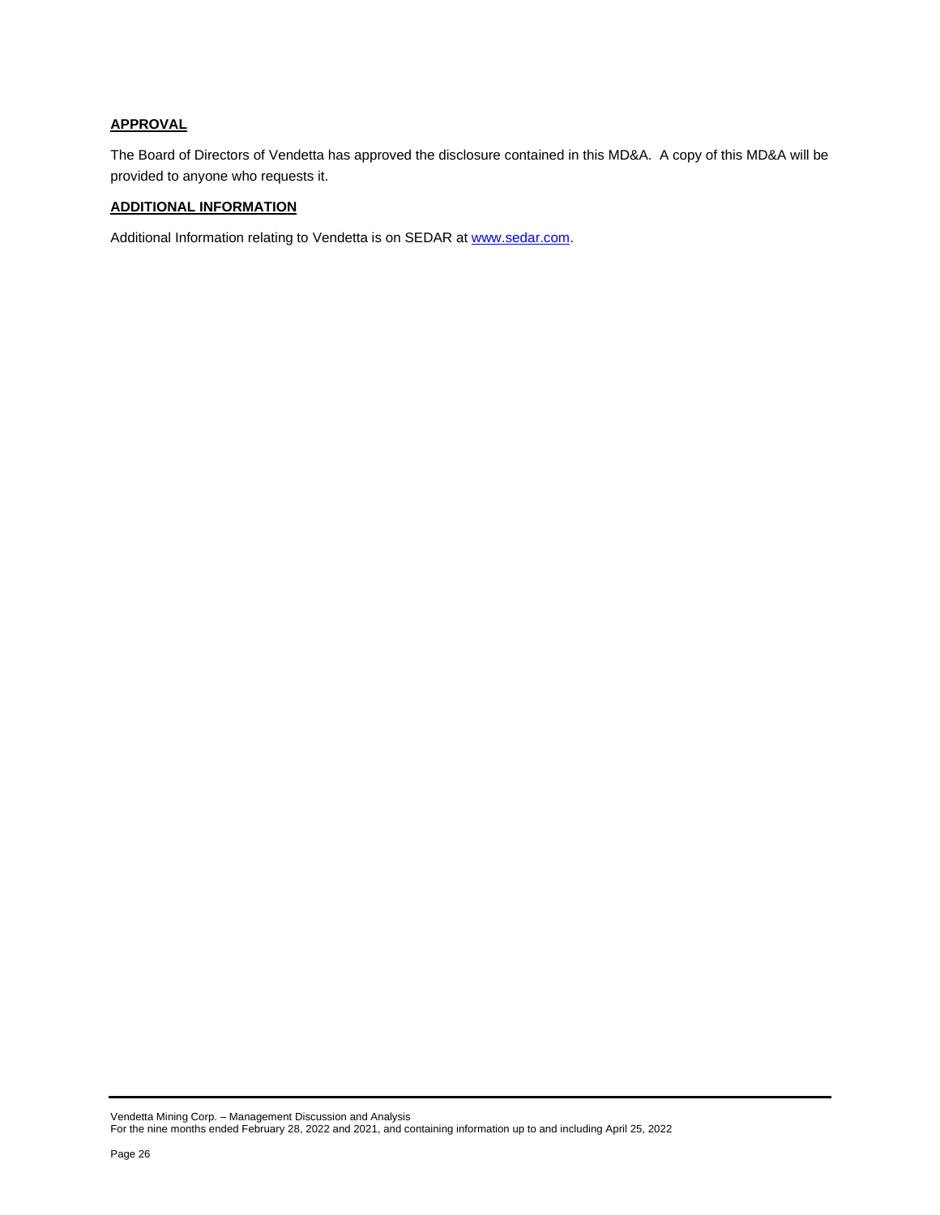# **APPROVAL**

The Board of Directors of Vendetta has approved the disclosure contained in this MD&A. A copy of this MD&A will be provided to anyone who requests it.

### **ADDITIONAL INFORMATION**

Additional Information relating to Vendetta is on SEDAR at [www.sedar.com.](http://www.sedar.com/)

Vendetta Mining Corp. – Management Discussion and Analysis For the nine months ended February 28, 2022 and 2021, and containing information up to and including April 25, 2022